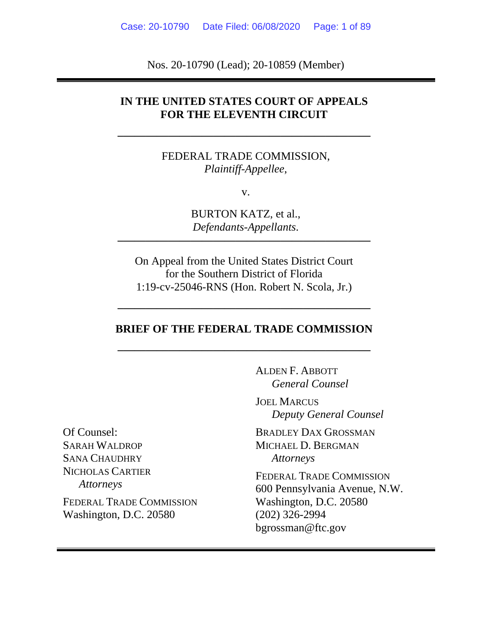Nos. 20-10790 (Lead); 20-10859 (Member)

### **IN THE UNITED STATES COURT OF APPEALS FOR THE ELEVENTH CIRCUIT**

FEDERAL TRADE COMMISSION, *Plaintiff-Appellee*,

**–––––––––––––––––––––––––––––––––––––––––––––** 

v.

BURTON KATZ, et al., *Defendants-Appellants*.

**–––––––––––––––––––––––––––––––––––––––––––––** 

On Appeal from the United States District Court for the Southern District of Florida 1:19-cv-25046-RNS (Hon. Robert N. Scola, Jr.)

### **BRIEF OF THE FEDERAL TRADE COMMISSION**

**–––––––––––––––––––––––––––––––––––––––––––––** 

**–––––––––––––––––––––––––––––––––––––––––––––** 

 ALDEN F. ABBOTT *General Counsel* 

JOEL MARCUS *Deputy General Counsel* 

BRADLEY DAX GROSSMAN MICHAEL D. BERGMAN *Attorneys* 

FEDERAL TRADE COMMISSION 600 Pennsylvania Avenue, N.W. Washington, D.C. 20580 (202) 326-2994 bgrossman@ftc.gov

Of Counsel: SARAH WALDROP SANA CHAUDHRY NICHOLAS CARTIER *Attorneys* 

FEDERAL TRADE COMMISSION Washington, D.C. 20580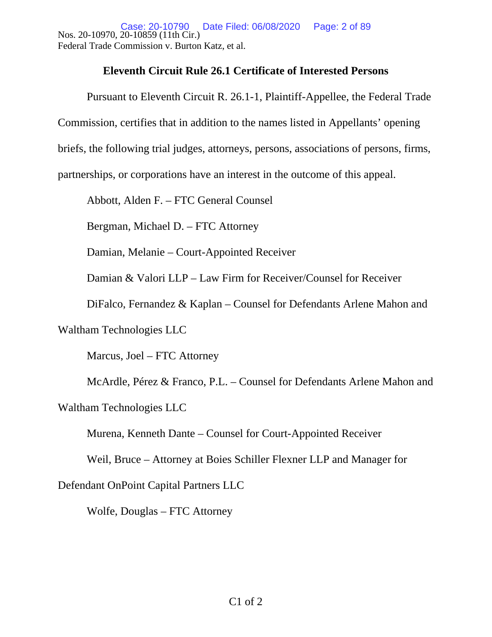Case: 20-10790<br>Nos. 20-10970, 20-10859 (11th Cir.) Federal Trade Commission v. Burton Katz, et al. Date Filed: 06/08/2020 Page: 2 of 89

### **Eleventh Circuit Rule 26.1 Certificate of Interested Persons**

Pursuant to Eleventh Circuit R. 26.1-1, Plaintiff-Appellee, the Federal Trade Commission, certifies that in addition to the names listed in Appellants' opening briefs, the following trial judges, attorneys, persons, associations of persons, firms,

partnerships, or corporations have an interest in the outcome of this appeal.

Abbott, Alden F. – FTC General Counsel

Bergman, Michael D. – FTC Attorney

Damian, Melanie – Court-Appointed Receiver

Damian & Valori LLP – Law Firm for Receiver/Counsel for Receiver

DiFalco, Fernandez & Kaplan – Counsel for Defendants Arlene Mahon and

Waltham Technologies LLC

Marcus, Joel – FTC Attorney

McArdle, Pérez & Franco, P.L. – Counsel for Defendants Arlene Mahon and Waltham Technologies LLC

Murena, Kenneth Dante – Counsel for Court-Appointed Receiver

Weil, Bruce – Attorney at Boies Schiller Flexner LLP and Manager for

Defendant OnPoint Capital Partners LLC

Wolfe, Douglas – FTC Attorney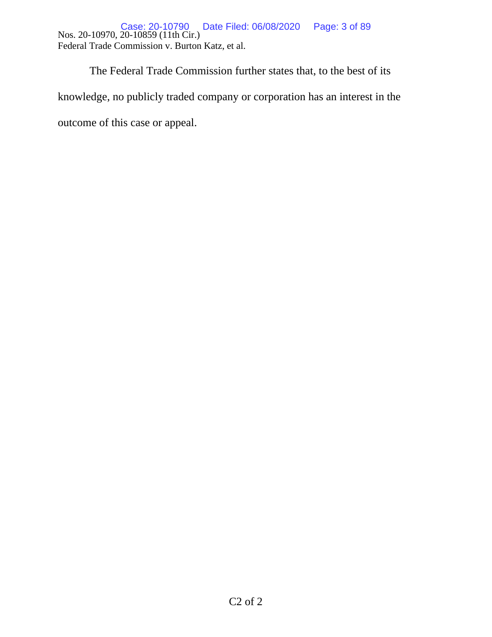Nos. 20-10970, 20-10859 (11th Cir.) Federal Trade Commission v. Burton Katz, et al. Case: 20-10790 Date Filed: 06/08/2020 Page: 3 of 89

 The Federal Trade Commission further states that, to the best of its knowledge, no publicly traded company or corporation has an interest in the outcome of this case or appeal.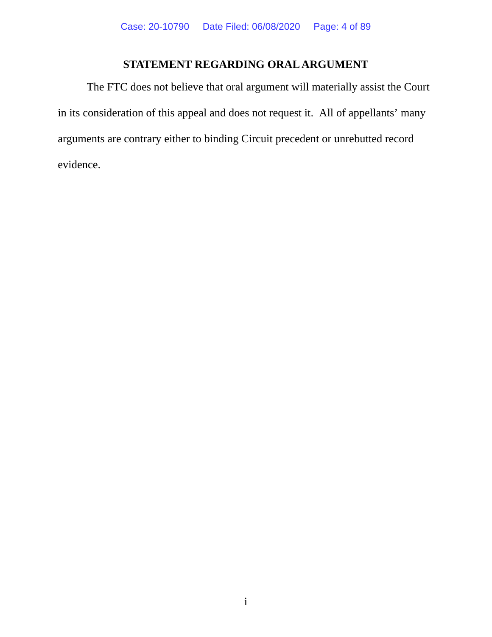## **STATEMENT REGARDING ORAL ARGUMENT**

The FTC does not believe that oral argument will materially assist the Court in its consideration of this appeal and does not request it. All of appellants' many arguments are contrary either to binding Circuit precedent or unrebutted record evidence.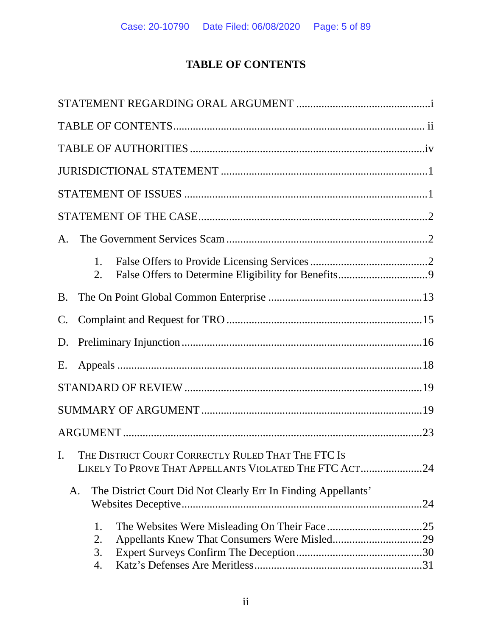# **TABLE OF CONTENTS**

| A.             |                      |                                                                                                                 |  |
|----------------|----------------------|-----------------------------------------------------------------------------------------------------------------|--|
|                | 1.<br>2.             |                                                                                                                 |  |
| B.             |                      |                                                                                                                 |  |
| $\mathbf{C}$ . |                      |                                                                                                                 |  |
| D.             |                      |                                                                                                                 |  |
| Е.             |                      |                                                                                                                 |  |
|                |                      |                                                                                                                 |  |
|                |                      |                                                                                                                 |  |
|                |                      |                                                                                                                 |  |
|                |                      | I. THE DISTRICT COURT CORRECTLY RULED THAT THE FTC IS<br>LIKELY TO PROVE THAT APPELLANTS VIOLATED THE FTC ACT24 |  |
|                | A.                   | The District Court Did Not Clearly Err In Finding Appellants'                                                   |  |
|                | 1.<br>2.<br>3.<br>4. |                                                                                                                 |  |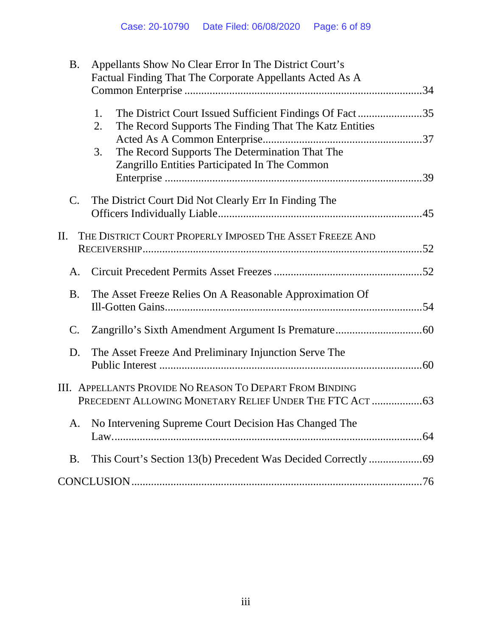| <b>B.</b>      | Appellants Show No Clear Error In The District Court's                                                                                                                                                                                 |  |
|----------------|----------------------------------------------------------------------------------------------------------------------------------------------------------------------------------------------------------------------------------------|--|
|                | Factual Finding That The Corporate Appellants Acted As A                                                                                                                                                                               |  |
|                | 1.<br>The District Court Issued Sufficient Findings Of Fact35<br>The Record Supports The Finding That The Katz Entities<br>2.<br>The Record Supports The Determination That The<br>3.<br>Zangrillo Entities Participated In The Common |  |
| $C_{\cdot}$    | The District Court Did Not Clearly Err In Finding The                                                                                                                                                                                  |  |
| П.             | THE DISTRICT COURT PROPERLY IMPOSED THE ASSET FREEZE AND                                                                                                                                                                               |  |
| A.             |                                                                                                                                                                                                                                        |  |
| <b>B.</b>      | The Asset Freeze Relies On A Reasonable Approximation Of                                                                                                                                                                               |  |
| $\mathbf{C}$ . |                                                                                                                                                                                                                                        |  |
| D.             | The Asset Freeze And Preliminary Injunction Serve The                                                                                                                                                                                  |  |
|                | III. APPELLANTS PROVIDE NO REASON TO DEPART FROM BINDING                                                                                                                                                                               |  |
| A.             | No Intervening Supreme Court Decision Has Changed The                                                                                                                                                                                  |  |
| <b>B.</b>      |                                                                                                                                                                                                                                        |  |
|                |                                                                                                                                                                                                                                        |  |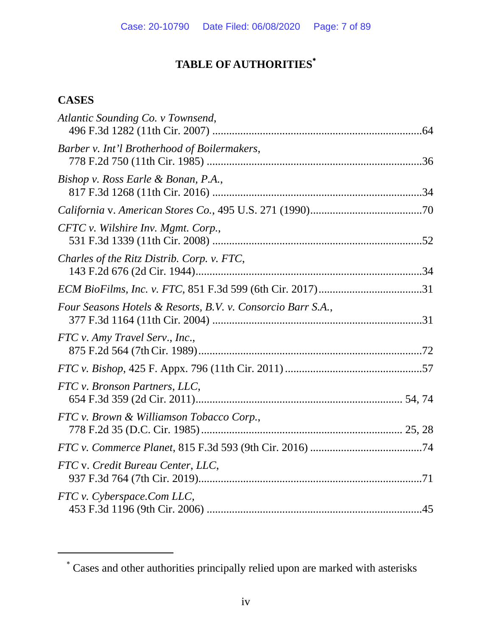# **TABLE OF AUTHORITIES**

## **CASES**

| Atlantic Sounding Co. v Townsend,                           |  |
|-------------------------------------------------------------|--|
| Barber v. Int'l Brotherhood of Boilermakers,                |  |
| Bishop v. Ross Earle & Bonan, P.A.,                         |  |
|                                                             |  |
| CFTC v. Wilshire Inv. Mgmt. Corp.,                          |  |
| Charles of the Ritz Distrib. Corp. v. FTC,                  |  |
|                                                             |  |
| Four Seasons Hotels & Resorts, B.V. v. Consorcio Barr S.A., |  |
| FTC v. Amy Travel Serv., Inc.,                              |  |
|                                                             |  |
| FTC v. Bronson Partners, LLC,                               |  |
| FTC v. Brown & Williamson Tobacco Corp.,                    |  |
|                                                             |  |
| FTC v. Credit Bureau Center, LLC,                           |  |
| FTC v. Cyberspace.Com LLC,                                  |  |

 Cases and other authorities principally relied upon are marked with asterisks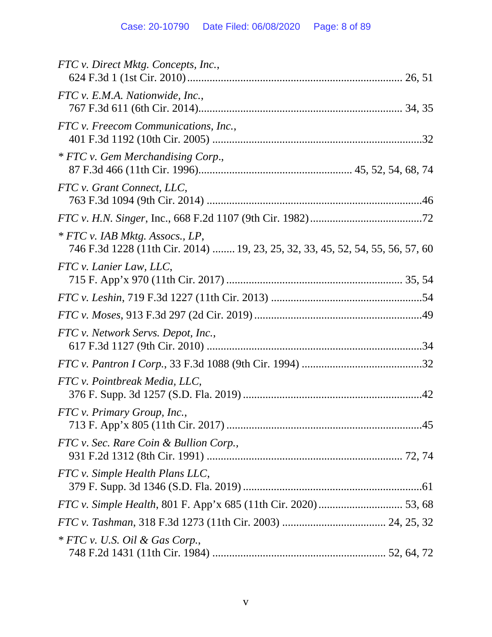| FTC v. Direct Mktg. Concepts, Inc.,                                                                               |
|-------------------------------------------------------------------------------------------------------------------|
| FTC v. E.M.A. Nationwide, Inc.,                                                                                   |
|                                                                                                                   |
| FTC v. Freecom Communications, Inc.,                                                                              |
| * FTC v. Gem Merchandising Corp.,                                                                                 |
| FTC v. Grant Connect, LLC,                                                                                        |
|                                                                                                                   |
| * FTC v. IAB Mktg. Assocs., LP,<br>746 F.3d 1228 (11th Cir. 2014)  19, 23, 25, 32, 33, 45, 52, 54, 55, 56, 57, 60 |
| FTC v. Lanier Law, LLC,                                                                                           |
|                                                                                                                   |
|                                                                                                                   |
| FTC v. Network Servs. Depot, Inc.,                                                                                |
|                                                                                                                   |
| FTC v. Pointbreak Media, LLC,                                                                                     |
| FTC v. Primary Group, Inc.,                                                                                       |
| FTC v. Sec. Rare Coin & Bullion Corp.,                                                                            |
| FTC v. Simple Health Plans LLC,                                                                                   |
|                                                                                                                   |
|                                                                                                                   |
| $*$ FTC v. U.S. Oil & Gas Corp.,                                                                                  |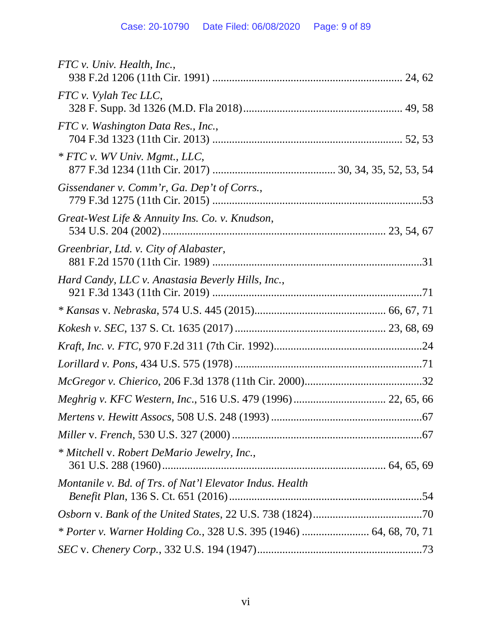| FTC v. Univ. Health, Inc.,                                          |
|---------------------------------------------------------------------|
| FTC v. Vylah Tec LLC,                                               |
|                                                                     |
| FTC v. Washington Data Res., Inc.,                                  |
| * FTC v. WV Univ. Mgmt., LLC,                                       |
| Gissendaner v. Comm'r, Ga. Dep't of Corrs.,                         |
| Great-West Life & Annuity Ins. Co. v. Knudson,                      |
| Greenbriar, Ltd. v. City of Alabaster,                              |
|                                                                     |
| Hard Candy, LLC v. Anastasia Beverly Hills, Inc.,                   |
|                                                                     |
|                                                                     |
|                                                                     |
|                                                                     |
|                                                                     |
| Meghrig v. KFC Western, Inc., 516 U.S. 479 (1996) 22, 65, 66        |
|                                                                     |
|                                                                     |
| * Mitchell v. Robert DeMario Jewelry, Inc.,                         |
| Montanile v. Bd. of Trs. of Nat'l Elevator Indus. Health            |
|                                                                     |
|                                                                     |
| * Porter v. Warner Holding Co., 328 U.S. 395 (1946)  64, 68, 70, 71 |
|                                                                     |
|                                                                     |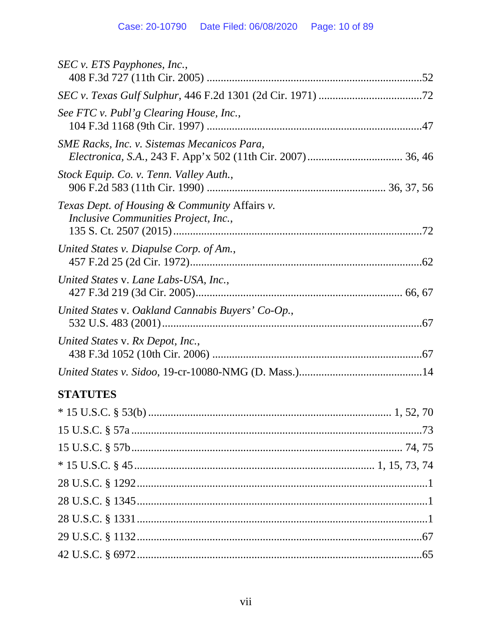| SEC v. ETS Payphones, Inc.,                                                           |  |
|---------------------------------------------------------------------------------------|--|
|                                                                                       |  |
| See FTC v. Publ'g Clearing House, Inc.,                                               |  |
| <i>SME Racks, Inc. v. Sistemas Mecanicos Para,</i>                                    |  |
| Stock Equip. Co. v. Tenn. Valley Auth.,                                               |  |
| Texas Dept. of Housing & Community Affairs v.<br>Inclusive Communities Project, Inc., |  |
| United States v. Diapulse Corp. of Am.,                                               |  |
| United States v. Lane Labs-USA, Inc.,                                                 |  |
| United States v. Oakland Cannabis Buyers' Co-Op.,                                     |  |
| United States v. Rx Depot, Inc.,                                                      |  |
|                                                                                       |  |
| <b>STATUTES</b>                                                                       |  |
|                                                                                       |  |
|                                                                                       |  |
|                                                                                       |  |
|                                                                                       |  |
|                                                                                       |  |
|                                                                                       |  |
|                                                                                       |  |
|                                                                                       |  |
|                                                                                       |  |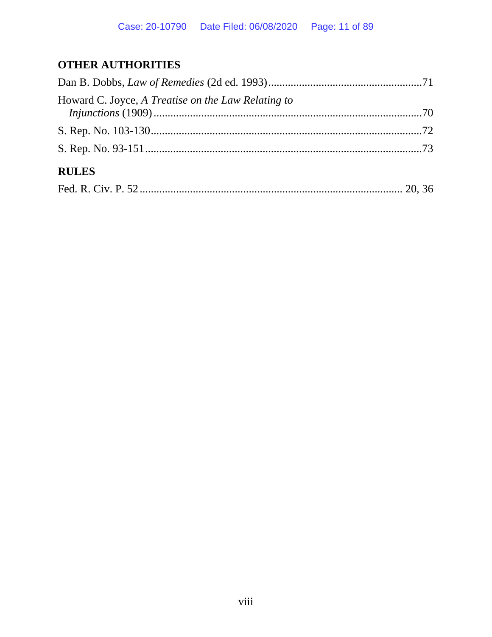## **OTHER AUTHORITIES**

| Howard C. Joyce, A Treatise on the Law Relating to |  |
|----------------------------------------------------|--|
|                                                    |  |
|                                                    |  |
| <b>RULES</b>                                       |  |
|                                                    |  |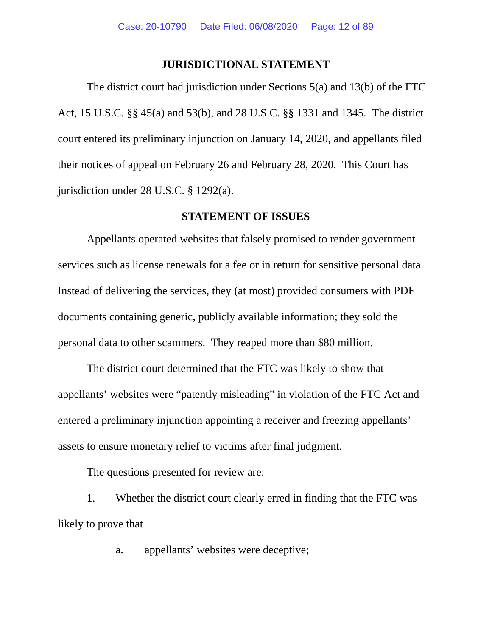### **JURISDICTIONAL STATEMENT**

The district court had jurisdiction under Sections 5(a) and 13(b) of the FTC Act, 15 U.S.C. §§ 45(a) and 53(b), and 28 U.S.C. §§ 1331 and 1345. The district court entered its preliminary injunction on January 14, 2020, and appellants filed their notices of appeal on February 26 and February 28, 2020. This Court has jurisdiction under 28 U.S.C. § 1292(a).

### **STATEMENT OF ISSUES**

Appellants operated websites that falsely promised to render government services such as license renewals for a fee or in return for sensitive personal data. Instead of delivering the services, they (at most) provided consumers with PDF documents containing generic, publicly available information; they sold the personal data to other scammers. They reaped more than \$80 million.

The district court determined that the FTC was likely to show that appellants' websites were "patently misleading" in violation of the FTC Act and entered a preliminary injunction appointing a receiver and freezing appellants' assets to ensure monetary relief to victims after final judgment.

The questions presented for review are:

1. Whether the district court clearly erred in finding that the FTC was likely to prove that

a. appellants' websites were deceptive;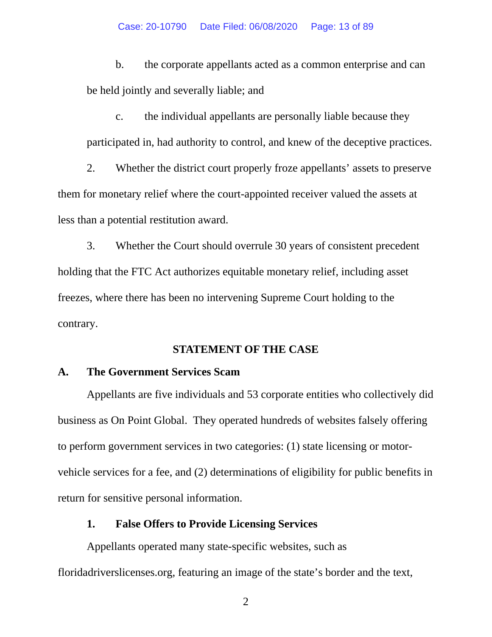b. the corporate appellants acted as a common enterprise and can be held jointly and severally liable; and

c. the individual appellants are personally liable because they participated in, had authority to control, and knew of the deceptive practices.

2. Whether the district court properly froze appellants' assets to preserve them for monetary relief where the court-appointed receiver valued the assets at less than a potential restitution award.

3. Whether the Court should overrule 30 years of consistent precedent holding that the FTC Act authorizes equitable monetary relief, including asset freezes, where there has been no intervening Supreme Court holding to the contrary.

### **STATEMENT OF THE CASE**

### **A. The Government Services Scam**

Appellants are five individuals and 53 corporate entities who collectively did business as On Point Global. They operated hundreds of websites falsely offering to perform government services in two categories: (1) state licensing or motorvehicle services for a fee, and (2) determinations of eligibility for public benefits in return for sensitive personal information.

### **1. False Offers to Provide Licensing Services**

Appellants operated many state-specific websites, such as floridadriverslicenses.org, featuring an image of the state's border and the text,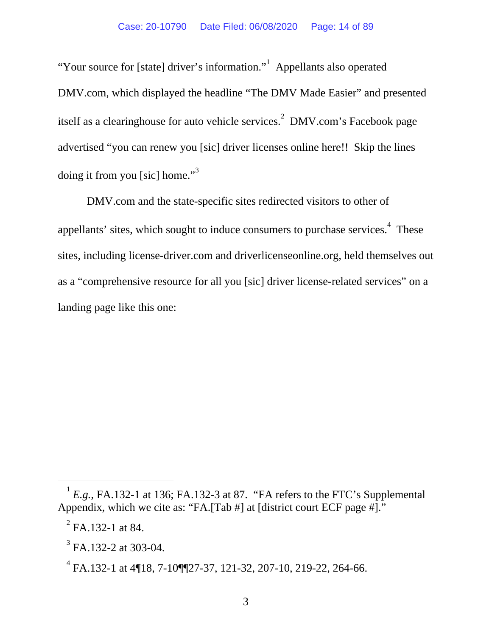"Your source for [state] driver's information." Appellants also operated DMV.com, which displayed the headline "The DMV Made Easier" and presented itself as a clearinghouse for auto vehicle services.<sup>2</sup> DMV.com's Facebook page advertised "you can renew you [sic] driver licenses online here!! Skip the lines doing it from you [sic] home." $3<sup>3</sup>$ 

DMV.com and the state-specific sites redirected visitors to other of appellants' sites, which sought to induce consumers to purchase services.<sup>4</sup> These sites, including license-driver.com and driverlicenseonline.org, held themselves out as a "comprehensive resource for all you [sic] driver license-related services" on a landing page like this one:

 ${}^{1}E.g.,$  FA.132-1 at 136; FA.132-3 at 87. "FA refers to the FTC's Supplemental Appendix, which we cite as: "FA.[Tab #] at [district court ECF page #]."

 $^{2}$  FA.132-1 at 84.

 $3$  FA.132-2 at 303-04.

 $^{4}$  FA.132-1 at 4¶18, 7-10¶¶27-37, 121-32, 207-10, 219-22, 264-66.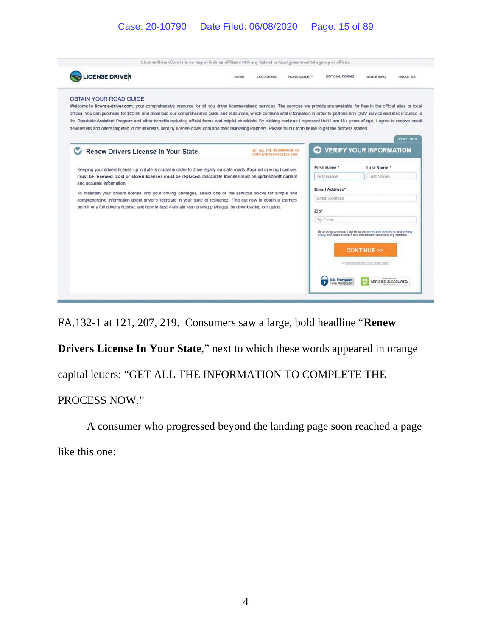### Case: 20-10790 Date Filed: 06/08/2020 Page: 15 of 89

| <b>LICENSE DRIVER</b>                                                                                                                                                                                                                                                                                                                                                                                                                                                                                                                                                                                                                                                                                                                                                        | HOME                                                                                                                                                                                                                              | <b>LOCATIONS</b>                                              | <b>ROAD GUIDE™</b>      | OFFICIAL FORMS                                                                                                                              | STATE INFO                                                      | <b>ABOUTUS</b> |  |
|------------------------------------------------------------------------------------------------------------------------------------------------------------------------------------------------------------------------------------------------------------------------------------------------------------------------------------------------------------------------------------------------------------------------------------------------------------------------------------------------------------------------------------------------------------------------------------------------------------------------------------------------------------------------------------------------------------------------------------------------------------------------------|-----------------------------------------------------------------------------------------------------------------------------------------------------------------------------------------------------------------------------------|---------------------------------------------------------------|-------------------------|---------------------------------------------------------------------------------------------------------------------------------------------|-----------------------------------------------------------------|----------------|--|
| <b>OBTAIN YOUR ROAD GUIDE</b><br>Welcome to license-driver.com, your comprehensive resource for all you driver license-related services. The services we provide are available for free in the official sites or local<br>offices. You can purchase for \$23.98 and download our comprehensive guide and resources, which contains vital information in order to perform any DMV service and also induded is<br>the Roadside Assistant Program and other benefits including official forms and helpful checklists. By clicking continue I represent that I am 18+ years of age, I agree to receive email<br>newsletters and offers targeted to my interests, sent by license-driver.com and their Marketing Partners. Please fill out form below to get the process started. |                                                                                                                                                                                                                                   |                                                               |                         |                                                                                                                                             |                                                                 | STEP 1 OF 3    |  |
| Renew Drivers License In Your State                                                                                                                                                                                                                                                                                                                                                                                                                                                                                                                                                                                                                                                                                                                                          |                                                                                                                                                                                                                                   | GET ALL THE INFORMATION TO<br><b>COMPLETE THE PROCESS NOW</b> |                         | э                                                                                                                                           | <b>VERIFY YOUR INFORMATION</b>                                  |                |  |
| Keeping your drivers license up to date is crucial in order to drive legally on state roads. Expired driving licenses<br>must be renewed. Lost or stolen licenses must be replaced. Inaccurate licenses must be updated with current<br>and accurate information.                                                                                                                                                                                                                                                                                                                                                                                                                                                                                                            |                                                                                                                                                                                                                                   |                                                               |                         | First Name *                                                                                                                                | Last Name *                                                     |                |  |
|                                                                                                                                                                                                                                                                                                                                                                                                                                                                                                                                                                                                                                                                                                                                                                              |                                                                                                                                                                                                                                   |                                                               | Last Name<br>First Name |                                                                                                                                             |                                                                 |                |  |
|                                                                                                                                                                                                                                                                                                                                                                                                                                                                                                                                                                                                                                                                                                                                                                              | To maintain your drivers license and your driving privileges, select one of the services above for simple and<br>comprehensive information about driver's licensure in your state of residence. Find out how to obtain a learners |                                                               |                         | Email Address*<br><b>Email Address</b>                                                                                                      |                                                                 |                |  |
|                                                                                                                                                                                                                                                                                                                                                                                                                                                                                                                                                                                                                                                                                                                                                                              | permit or a full driver's license, and how to best maintain your driving privileges, by downloading our guide.                                                                                                                    |                                                               |                         | Zip*                                                                                                                                        |                                                                 |                |  |
|                                                                                                                                                                                                                                                                                                                                                                                                                                                                                                                                                                                                                                                                                                                                                                              |                                                                                                                                                                                                                                   |                                                               |                         | Zip Code                                                                                                                                    |                                                                 |                |  |
|                                                                                                                                                                                                                                                                                                                                                                                                                                                                                                                                                                                                                                                                                                                                                                              |                                                                                                                                                                                                                                   |                                                               |                         | By cliding continue. I agree to the terms and conditions and privacy<br>policy and receive emails and newsletters tailored to my interests. | <b>CONTINUE &gt;&gt;</b><br>or cancel and visityour state page. |                |  |
|                                                                                                                                                                                                                                                                                                                                                                                                                                                                                                                                                                                                                                                                                                                                                                              |                                                                                                                                                                                                                                   |                                                               |                         | <b>SSL Encryption</b>                                                                                                                       |                                                                 |                |  |

FA.132-1 at 121, 207, 219. Consumers saw a large, bold headline "**Renew** 

**Drivers License In Your State**," next to which these words appeared in orange

capital letters: "GET ALL THE INFORMATION TO COMPLETE THE

PROCESS NOW."

A consumer who progressed beyond the landing page soon reached a page

like this one: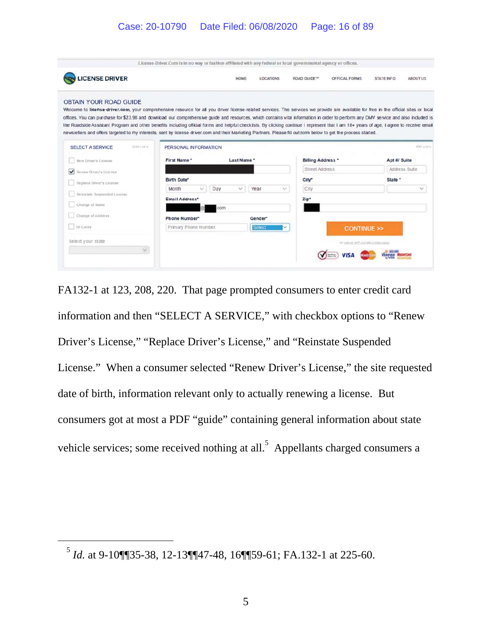### Case: 20-10790 Date Filed: 06/08/2020 Page: 16 of 89

| <b>LICENSE DRIVER</b>                                                                                                                                                                                                                                                                                                                                                                                                                                                                                                                                                                                                                                                                                                                                                         |                              | HOME         | <b>LOCATIONS</b> | <b>ROAD GUIDE™</b>       | <b>OFFICIAL FORMS</b>                | <b>STATE INFO</b> | <b>ABOUTUS</b> |
|-------------------------------------------------------------------------------------------------------------------------------------------------------------------------------------------------------------------------------------------------------------------------------------------------------------------------------------------------------------------------------------------------------------------------------------------------------------------------------------------------------------------------------------------------------------------------------------------------------------------------------------------------------------------------------------------------------------------------------------------------------------------------------|------------------------------|--------------|------------------|--------------------------|--------------------------------------|-------------------|----------------|
| <b>OBTAIN YOUR ROAD GUIDE</b><br>Welcome to license-driver.com, your comprehensive resource for all you driver license-related services. The services we provide are available for free in the official sites or local<br>offices. You can purchase for \$23.98 and download our comprehensive guide and resources, which contains vital information in order to perform any DMV service and also included is<br>the Roadside Assistant Program and other benefits including official forms and helpful checklists. By clicking continue I represent that I am 18+ years of age, I agree to receive email<br>newsletters and offers targeted to my interests, sent by license driver.com and their Marketing Partners. Please fill out form below to get the process started. |                              |              |                  |                          |                                      |                   |                |
| <b>SELECT A SERVICE</b><br>STEP LOF 4                                                                                                                                                                                                                                                                                                                                                                                                                                                                                                                                                                                                                                                                                                                                         | PERSONAL INFORMATION         |              |                  |                          |                                      |                   | UFEP 2.0 F 4.  |
| New Driver's License                                                                                                                                                                                                                                                                                                                                                                                                                                                                                                                                                                                                                                                                                                                                                          | First Name*                  | Last Name *  |                  | <b>Billing Address *</b> |                                      | Apt #/ Suite      |                |
| $\checkmark$<br>Renew Driver's License                                                                                                                                                                                                                                                                                                                                                                                                                                                                                                                                                                                                                                                                                                                                        |                              |              |                  | Street Address           |                                      |                   | Address Suite  |
| Replace Driver's License                                                                                                                                                                                                                                                                                                                                                                                                                                                                                                                                                                                                                                                                                                                                                      | <b>Birth Date*</b>           |              |                  | City                     |                                      | State *           |                |
|                                                                                                                                                                                                                                                                                                                                                                                                                                                                                                                                                                                                                                                                                                                                                                               | Day<br>Month<br>$\checkmark$ | $\checkmark$ | Year<br>v.       | City                     |                                      |                   | $\checkmark$   |
| Reinstate Suspended License                                                                                                                                                                                                                                                                                                                                                                                                                                                                                                                                                                                                                                                                                                                                                   | Email Address'               |              |                  | Zip*                     |                                      |                   |                |
| Change of Name                                                                                                                                                                                                                                                                                                                                                                                                                                                                                                                                                                                                                                                                                                                                                                |                              | com          |                  |                          |                                      |                   |                |
| Change of Address                                                                                                                                                                                                                                                                                                                                                                                                                                                                                                                                                                                                                                                                                                                                                             | Phone Number*                |              | Gender*          |                          |                                      |                   |                |
| 1D Carda                                                                                                                                                                                                                                                                                                                                                                                                                                                                                                                                                                                                                                                                                                                                                                      | Primary Phone Number         |              | <b>Select</b>    |                          | <b>CONTINUE &gt;&gt;</b>             |                   |                |
| Select your state                                                                                                                                                                                                                                                                                                                                                                                                                                                                                                                                                                                                                                                                                                                                                             |                              |              |                  |                          | or yars of and worlded in this page. |                   |                |
|                                                                                                                                                                                                                                                                                                                                                                                                                                                                                                                                                                                                                                                                                                                                                                               |                              |              |                  |                          |                                      |                   |                |

FA132-1 at 123, 208, 220. That page prompted consumers to enter credit card information and then "SELECT A SERVICE," with checkbox options to "Renew Driver's License," "Replace Driver's License," and "Reinstate Suspended License." When a consumer selected "Renew Driver's License," the site requested date of birth, information relevant only to actually renewing a license. But consumers got at most a PDF "guide" containing general information about state vehicle services; some received nothing at all.<sup>5</sup> Appellants charged consumers a

<sup>5</sup> *Id.* at 9-10¶¶35-38, 12-13¶¶47-48, 16¶¶59-61; FA.132-1 at 225-60.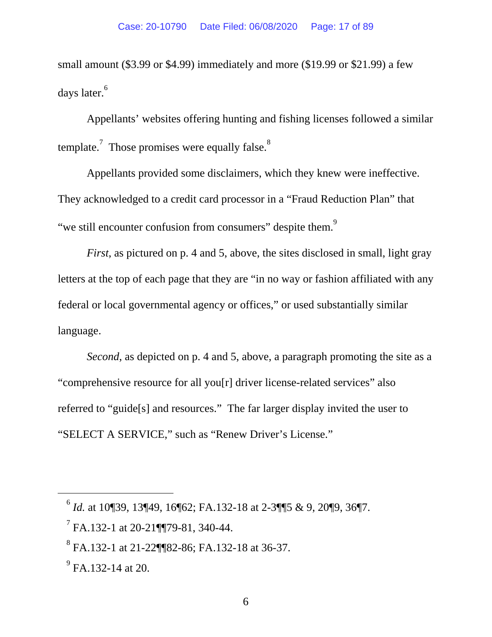small amount (\$3.99 or \$4.99) immediately and more (\$19.99 or \$21.99) a few days later.<sup>6</sup>

Appellants' websites offering hunting and fishing licenses followed a similar template.<sup>7</sup> Those promises were equally false.<sup>8</sup>

Appellants provided some disclaimers, which they knew were ineffective. They acknowledged to a credit card processor in a "Fraud Reduction Plan" that "we still encounter confusion from consumers" despite them.<sup>9</sup>

*First*, as pictured on p. 4 and 5, above, the sites disclosed in small, light gray letters at the top of each page that they are "in no way or fashion affiliated with any federal or local governmental agency or offices," or used substantially similar language.

*Second*, as depicted on p. 4 and 5, above, a paragraph promoting the site as a "comprehensive resource for all you[r] driver license-related services" also referred to "guide[s] and resources." The far larger display invited the user to "SELECT A SERVICE," such as "Renew Driver's License."

-

 $^{6}$  *Id.* at 10¶39, 13¶49, 16¶62; FA.132-18 at 2-3¶¶5 & 9, 20¶9, 36¶7.

 $<sup>7</sup>$  FA.132-1 at 20-21¶¶79-81, 340-44.</sup>

<sup>8</sup> FA.132-1 at 21-22¶¶82-86; FA.132-18 at 36-37.

 $^{9}$  FA.132-14 at 20.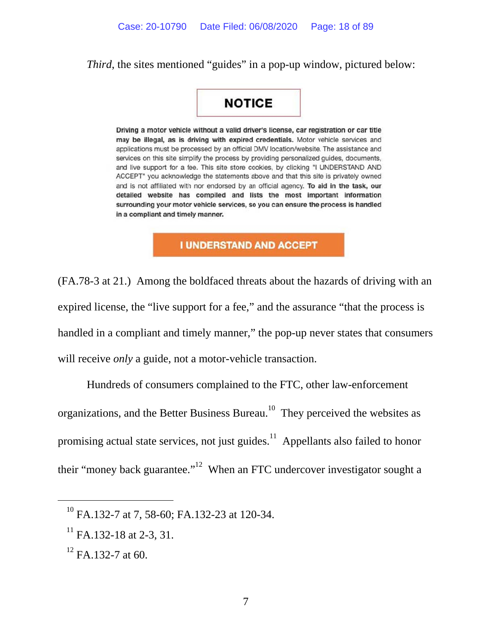*Third*, the sites mentioned "guides" in a pop-up window, pictured below:

# **NOTICE**

Driving a motor vehicle without a valid driver's license, car registration or car title may be illegal, as is driving with expired credentials. Motor vehicle services and applications must be processed by an official DMV location/website. The assistance and services on this site simplify the process by providing personalized guides, documents, and live support for a fee. This site store cookies, by clicking "I UNDERSTAND AND ACCEPT" you acknowledge the statements above and that this site is privately owned and is not affiliated with nor endorsed by an official agency. To aid in the task, our detailed website has compiled and lists the most important information surrounding your motor vehicle services, so you can ensure the process is handled in a compliant and timely manner.

### **I UNDERSTAND AND ACCEPT**

(FA.78-3 at 21.) Among the boldfaced threats about the hazards of driving with an expired license, the "live support for a fee," and the assurance "that the process is handled in a compliant and timely manner," the pop-up never states that consumers will receive *only* a guide, not a motor-vehicle transaction.

Hundreds of consumers complained to the FTC, other law-enforcement organizations, and the Better Business Bureau.<sup>10</sup> They perceived the websites as promising actual state services, not just guides.<sup>11</sup> Appellants also failed to honor their "money back guarantee."<sup>12</sup> When an FTC undercover investigator sought a

-

<sup>&</sup>lt;sup>10</sup> FA.132-7 at 7, 58-60; FA.132-23 at 120-34.

 $^{11}$  FA.132-18 at 2-3, 31.

 $12$  FA.132-7 at 60.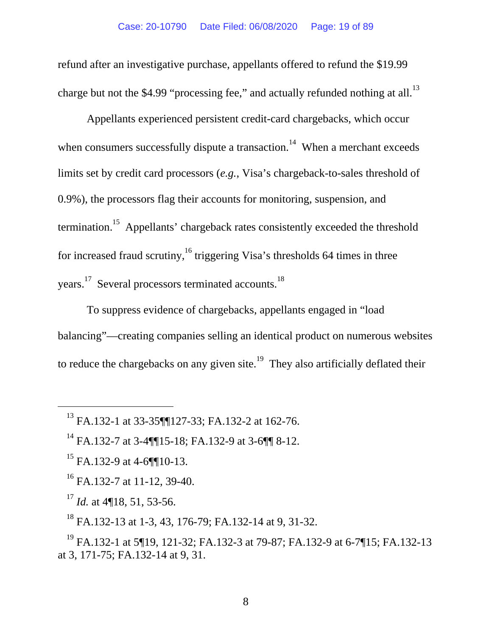refund after an investigative purchase, appellants offered to refund the \$19.99 charge but not the \$4.99 "processing fee," and actually refunded nothing at all.<sup>13</sup>

Appellants experienced persistent credit-card chargebacks, which occur when consumers successfully dispute a transaction.<sup>14</sup> When a merchant exceeds limits set by credit card processors (*e.g.*, Visa's chargeback-to-sales threshold of 0.9%), the processors flag their accounts for monitoring, suspension, and termination.<sup>15</sup> Appellants' chargeback rates consistently exceeded the threshold for increased fraud scrutiny,<sup>16</sup> triggering Visa's thresholds 64 times in three years.<sup>17</sup> Several processors terminated accounts.<sup>18</sup>

To suppress evidence of chargebacks, appellants engaged in "load balancing"—creating companies selling an identical product on numerous websites to reduce the chargebacks on any given site.<sup>19</sup> They also artificially deflated their

 $^{15}$  FA.132-9 at 4-6¶¶10-13.

-

16 FA.132-7 at 11-12, 39-40.

<sup>17</sup> *Id.* at 4¶18, 51, 53-56.

 $^{18}$  FA.132-13 at 1-3, 43, 176-79; FA.132-14 at 9, 31-32.

19 FA.132-1 at 5¶19, 121-32; FA.132-3 at 79-87; FA.132-9 at 6-7¶15; FA.132-13 at 3, 171-75; FA.132-14 at 9, 31.

<sup>13</sup> FA.132-1 at 33-35¶¶127-33; FA.132-2 at 162-76.

<sup>&</sup>lt;sup>14</sup> FA.132-7 at 3-4¶¶15-18; FA.132-9 at 3-6¶¶ 8-12.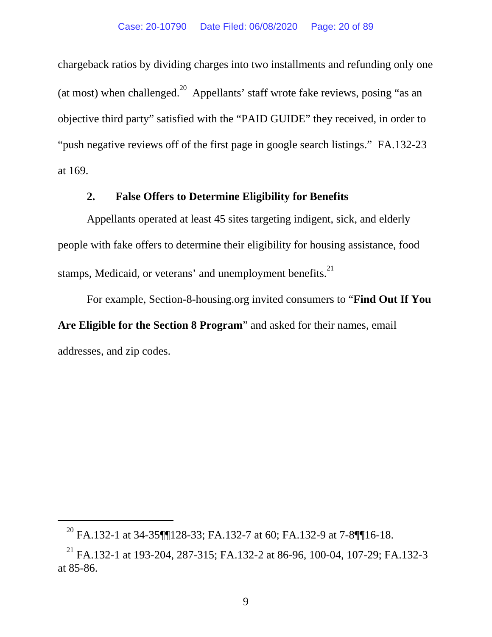chargeback ratios by dividing charges into two installments and refunding only one (at most) when challenged.<sup>20</sup> Appellants' staff wrote fake reviews, posing "as an objective third party" satisfied with the "PAID GUIDE" they received, in order to "push negative reviews off of the first page in google search listings." FA.132-23 at 169.

### **2. False Offers to Determine Eligibility for Benefits**

Appellants operated at least 45 sites targeting indigent, sick, and elderly people with fake offers to determine their eligibility for housing assistance, food stamps, Medicaid, or veterans' and unemployment benefits.<sup>21</sup>

For example, Section-8-housing.org invited consumers to "**Find Out If You Are Eligible for the Section 8 Program**" and asked for their names, email addresses, and zip codes.

-

<sup>&</sup>lt;sup>20</sup> FA.132-1 at 34-35¶¶128-33; FA.132-7 at 60; FA.132-9 at 7-8¶¶16-18.

<sup>&</sup>lt;sup>21</sup> FA.132-1 at 193-204, 287-315; FA.132-2 at 86-96, 100-04, 107-29; FA.132-3 at 85-86.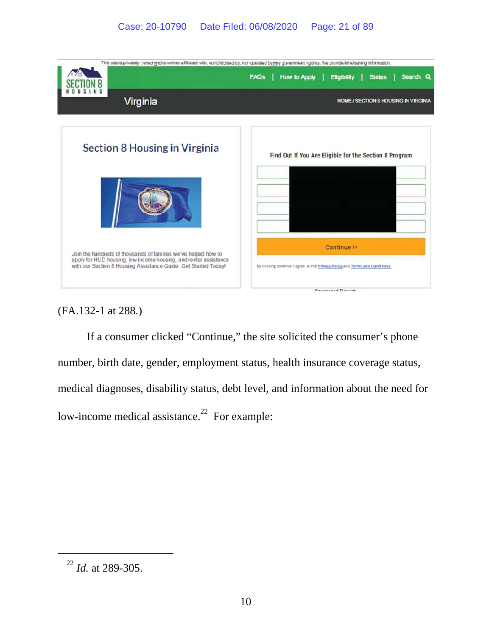

(FA.132-1 at 288.)

If a consumer clicked "Continue," the site solicited the consumer's phone number, birth date, gender, employment status, health insurance coverage status, medical diagnoses, disability status, debt level, and information about the need for low-income medical assistance.<sup>22</sup> For example:

<sup>22</sup> *Id.* at 289-305.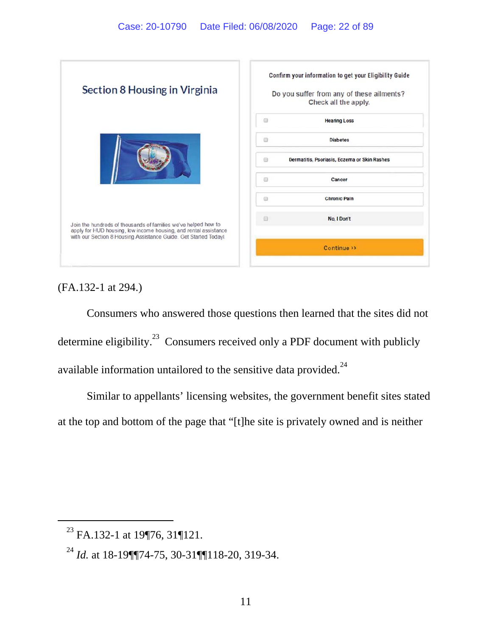

(FA.132-1 at 294.)

Consumers who answered those questions then learned that the sites did not determine eligibility. $^{23}$  Consumers received only a PDF document with publicly available information untailored to the sensitive data provided.<sup>24</sup>

Similar to appellants' licensing websites, the government benefit sites stated at the top and bottom of the page that "[t]he site is privately owned and is neither

<sup>&</sup>lt;sup>23</sup> FA.132-1 at 19¶76, 31¶121.

<sup>24</sup> *Id.* at 18-19¶¶74-75, 30-31¶¶118-20, 319-34.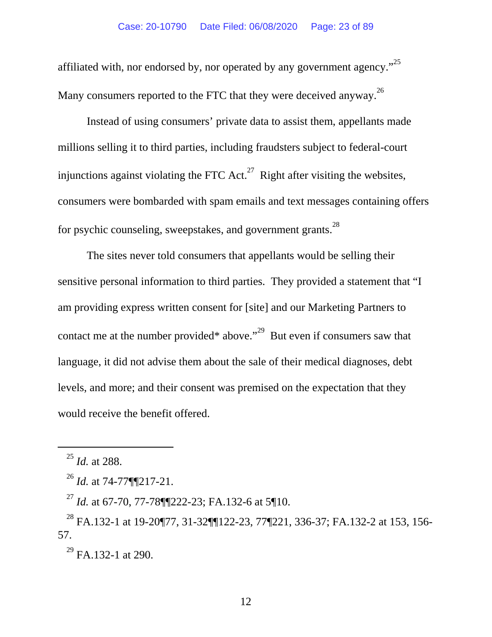affiliated with, nor endorsed by, nor operated by any government agency. $^{25}$ Many consumers reported to the FTC that they were deceived anyway.<sup>26</sup>

Instead of using consumers' private data to assist them, appellants made millions selling it to third parties, including fraudsters subject to federal-court injunctions against violating the FTC Act.<sup>27</sup> Right after visiting the websites, consumers were bombarded with spam emails and text messages containing offers for psychic counseling, sweepstakes, and government grants.<sup>28</sup>

The sites never told consumers that appellants would be selling their sensitive personal information to third parties. They provided a statement that "I am providing express written consent for [site] and our Marketing Partners to contact me at the number provided\* above."<sup>29</sup> But even if consumers saw that language, it did not advise them about the sale of their medical diagnoses, debt levels, and more; and their consent was premised on the expectation that they would receive the benefit offered.

 $\overline{a}$ 

 $^{29}$  FA.132-1 at 290.

<sup>25</sup> *Id.* at 288.

<sup>26</sup> *Id.* at 74-77¶¶217-21.

<sup>&</sup>lt;sup>27</sup> *Id.* at 67-70, 77-78¶¶222-23; FA.132-6 at 5¶10.

<sup>28</sup> FA.132-1 at 19-20¶77, 31-32¶¶122-23, 77¶221, 336-37; FA.132-2 at 153, 156- 57.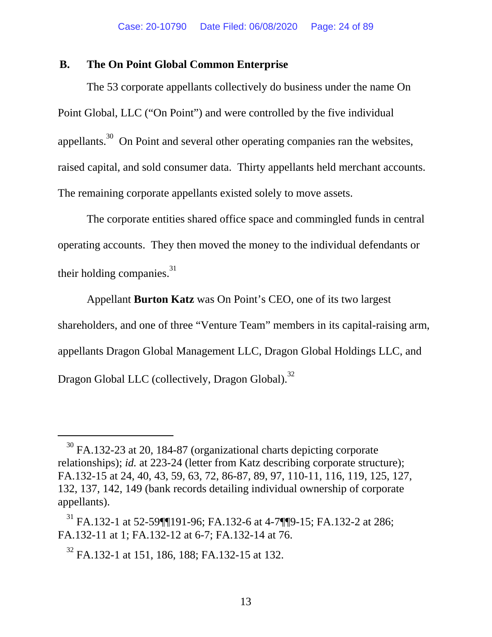### **B. The On Point Global Common Enterprise**

The 53 corporate appellants collectively do business under the name On Point Global, LLC ("On Point") and were controlled by the five individual appellants.<sup>30</sup> On Point and several other operating companies ran the websites, raised capital, and sold consumer data. Thirty appellants held merchant accounts. The remaining corporate appellants existed solely to move assets.

The corporate entities shared office space and commingled funds in central operating accounts. They then moved the money to the individual defendants or their holding companies.<sup>31</sup>

Appellant **Burton Katz** was On Point's CEO, one of its two largest shareholders, and one of three "Venture Team" members in its capital-raising arm, appellants Dragon Global Management LLC, Dragon Global Holdings LLC, and Dragon Global LLC (collectively, Dragon Global).<sup>32</sup>

<sup>&</sup>lt;sup>30</sup> FA.132-23 at 20, 184-87 (organizational charts depicting corporate relationships); *id.* at 223-24 (letter from Katz describing corporate structure); FA.132-15 at 24, 40, 43, 59, 63, 72, 86-87, 89, 97, 110-11, 116, 119, 125, 127, 132, 137, 142, 149 (bank records detailing individual ownership of corporate appellants).

<sup>&</sup>lt;sup>31</sup> FA.132-1 at 52-59¶¶191-96; FA.132-6 at 4-7¶¶9-15; FA.132-2 at 286; FA.132-11 at 1; FA.132-12 at 6-7; FA.132-14 at 76.

<sup>&</sup>lt;sup>32</sup> FA.132-1 at 151, 186, 188; FA.132-15 at 132.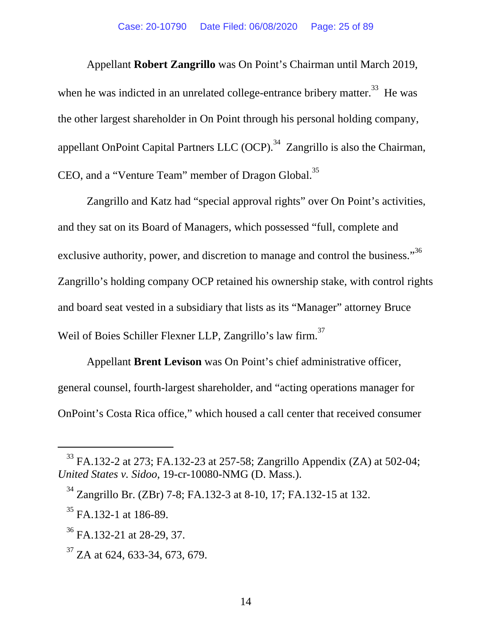Appellant **Robert Zangrillo** was On Point's Chairman until March 2019, when he was indicted in an unrelated college-entrance bribery matter.<sup>33</sup> He was the other largest shareholder in On Point through his personal holding company, appellant OnPoint Capital Partners LLC  $(OCP)$ .<sup>34</sup> Zangrillo is also the Chairman, CEO, and a "Venture Team" member of Dragon Global.<sup>35</sup>

Zangrillo and Katz had "special approval rights" over On Point's activities, and they sat on its Board of Managers, which possessed "full, complete and exclusive authority, power, and discretion to manage and control the business."<sup>36</sup> Zangrillo's holding company OCP retained his ownership stake, with control rights and board seat vested in a subsidiary that lists as its "Manager" attorney Bruce Weil of Boies Schiller Flexner LLP, Zangrillo's law firm.<sup>37</sup>

Appellant **Brent Levison** was On Point's chief administrative officer, general counsel, fourth-largest shareholder, and "acting operations manager for OnPoint's Costa Rica office," which housed a call center that received consumer

<sup>&</sup>lt;sup>33</sup> FA.132-2 at 273; FA.132-23 at 257-58; Zangrillo Appendix (ZA) at 502-04; *United States v. Sidoo*, 19-cr-10080-NMG (D. Mass.).

<sup>34</sup> Zangrillo Br. (ZBr) 7-8; FA.132-3 at 8-10, 17; FA.132-15 at 132.

 $35$  FA.132-1 at 186-89.

 $36$  FA.132-21 at 28-29, 37.

 $37$  ZA at 624, 633-34, 673, 679.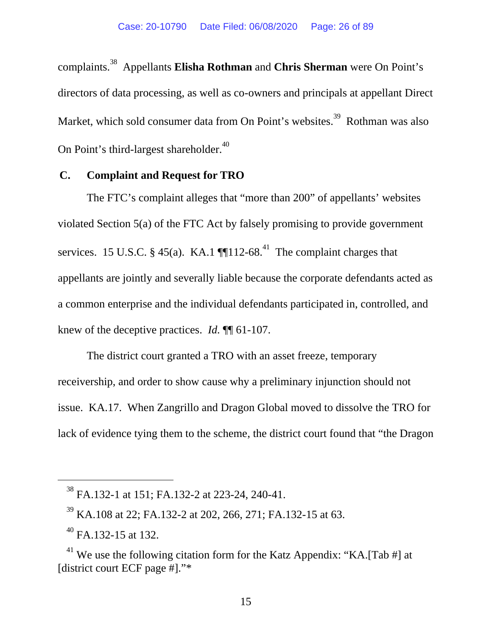complaints.38 Appellants **Elisha Rothman** and **Chris Sherman** were On Point's directors of data processing, as well as co-owners and principals at appellant Direct Market, which sold consumer data from On Point's websites.<sup>39</sup> Rothman was also On Point's third-largest shareholder.<sup>40</sup>

### **C. Complaint and Request for TRO**

The FTC's complaint alleges that "more than 200" of appellants' websites violated Section 5(a) of the FTC Act by falsely promising to provide government services. 15 U.S.C. § 45(a). KA.1  $\P$ [112-68.<sup>41</sup> The complaint charges that appellants are jointly and severally liable because the corporate defendants acted as a common enterprise and the individual defendants participated in, controlled, and knew of the deceptive practices. *Id.* ¶¶ 61-107.

The district court granted a TRO with an asset freeze, temporary receivership, and order to show cause why a preliminary injunction should not issue. KA.17. When Zangrillo and Dragon Global moved to dissolve the TRO for lack of evidence tying them to the scheme, the district court found that "the Dragon

<sup>38</sup> FA.132-1 at 151; FA.132-2 at 223-24, 240-41.

 $39$  KA.108 at 22; FA.132-2 at 202, 266, 271; FA.132-15 at 63.

<sup>40</sup> FA.132-15 at 132.

<sup>&</sup>lt;sup>41</sup> We use the following citation form for the Katz Appendix: "KA.[Tab #] at [district court ECF page #]."\*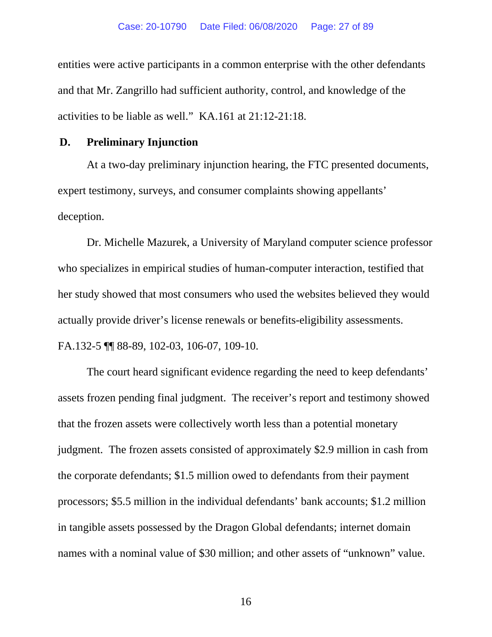entities were active participants in a common enterprise with the other defendants and that Mr. Zangrillo had sufficient authority, control, and knowledge of the activities to be liable as well." KA.161 at 21:12-21:18.

### **D. Preliminary Injunction**

At a two-day preliminary injunction hearing, the FTC presented documents, expert testimony, surveys, and consumer complaints showing appellants' deception.

Dr. Michelle Mazurek, a University of Maryland computer science professor who specializes in empirical studies of human-computer interaction, testified that her study showed that most consumers who used the websites believed they would actually provide driver's license renewals or benefits-eligibility assessments. FA.132-5 ¶¶ 88-89, 102-03, 106-07, 109-10.

The court heard significant evidence regarding the need to keep defendants' assets frozen pending final judgment. The receiver's report and testimony showed that the frozen assets were collectively worth less than a potential monetary judgment. The frozen assets consisted of approximately \$2.9 million in cash from the corporate defendants; \$1.5 million owed to defendants from their payment processors; \$5.5 million in the individual defendants' bank accounts; \$1.2 million in tangible assets possessed by the Dragon Global defendants; internet domain names with a nominal value of \$30 million; and other assets of "unknown" value.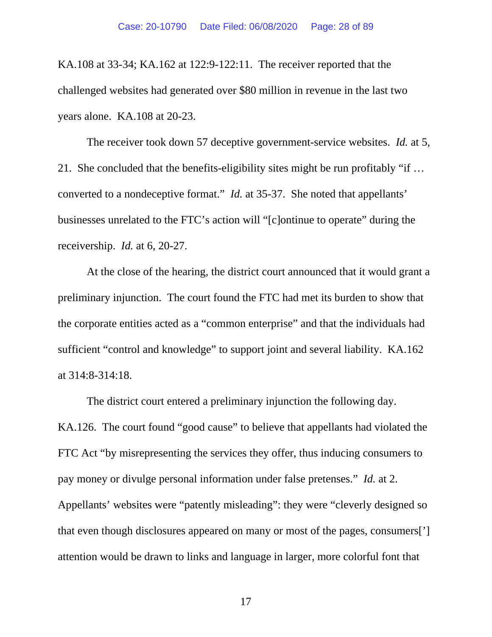KA.108 at 33-34; KA.162 at 122:9-122:11. The receiver reported that the challenged websites had generated over \$80 million in revenue in the last two years alone. KA.108 at 20-23.

The receiver took down 57 deceptive government-service websites. *Id.* at 5, 21. She concluded that the benefits-eligibility sites might be run profitably "if … converted to a nondeceptive format." *Id.* at 35-37. She noted that appellants' businesses unrelated to the FTC's action will "[c]ontinue to operate" during the receivership. *Id.* at 6, 20-27.

At the close of the hearing, the district court announced that it would grant a preliminary injunction. The court found the FTC had met its burden to show that the corporate entities acted as a "common enterprise" and that the individuals had sufficient "control and knowledge" to support joint and several liability. KA.162 at 314:8-314:18.

 The district court entered a preliminary injunction the following day. KA.126. The court found "good cause" to believe that appellants had violated the FTC Act "by misrepresenting the services they offer, thus inducing consumers to pay money or divulge personal information under false pretenses." *Id.* at 2. Appellants' websites were "patently misleading": they were "cleverly designed so that even though disclosures appeared on many or most of the pages, consumers['] attention would be drawn to links and language in larger, more colorful font that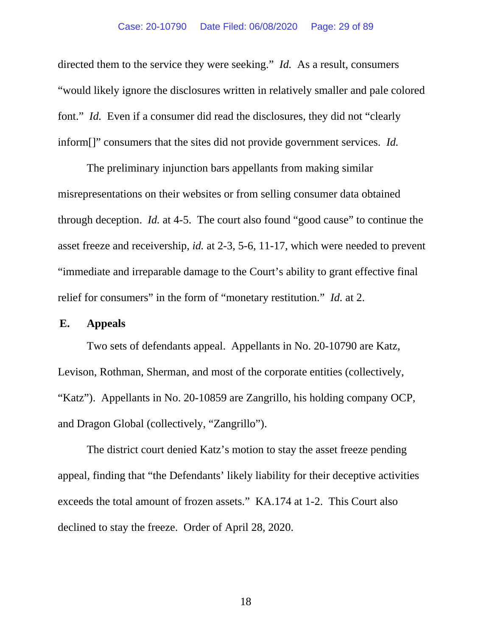directed them to the service they were seeking." *Id.* As a result, consumers "would likely ignore the disclosures written in relatively smaller and pale colored font." *Id.* Even if a consumer did read the disclosures, they did not "clearly" inform[]" consumers that the sites did not provide government services. *Id.*

The preliminary injunction bars appellants from making similar misrepresentations on their websites or from selling consumer data obtained through deception. *Id.* at 4-5. The court also found "good cause" to continue the asset freeze and receivership, *id.* at 2-3, 5-6, 11-17, which were needed to prevent "immediate and irreparable damage to the Court's ability to grant effective final relief for consumers" in the form of "monetary restitution." *Id.* at 2.

### **E. Appeals**

Two sets of defendants appeal. Appellants in No. 20-10790 are Katz, Levison, Rothman, Sherman, and most of the corporate entities (collectively, "Katz"). Appellants in No. 20-10859 are Zangrillo, his holding company OCP, and Dragon Global (collectively, "Zangrillo").

The district court denied Katz's motion to stay the asset freeze pending appeal, finding that "the Defendants' likely liability for their deceptive activities exceeds the total amount of frozen assets." KA.174 at 1-2. This Court also declined to stay the freeze. Order of April 28, 2020.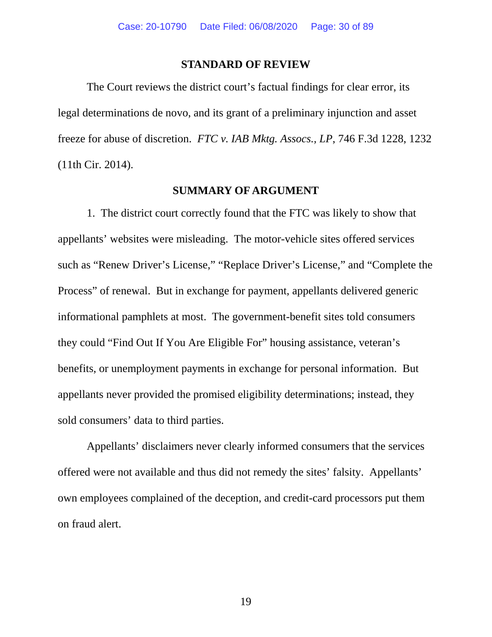#### **STANDARD OF REVIEW**

The Court reviews the district court's factual findings for clear error, its legal determinations de novo, and its grant of a preliminary injunction and asset freeze for abuse of discretion. *FTC v. IAB Mktg. Assocs., LP*, 746 F.3d 1228, 1232 (11th Cir. 2014).

### **SUMMARY OF ARGUMENT**

1. The district court correctly found that the FTC was likely to show that appellants' websites were misleading. The motor-vehicle sites offered services such as "Renew Driver's License," "Replace Driver's License," and "Complete the Process" of renewal. But in exchange for payment, appellants delivered generic informational pamphlets at most. The government-benefit sites told consumers they could "Find Out If You Are Eligible For" housing assistance, veteran's benefits, or unemployment payments in exchange for personal information. But appellants never provided the promised eligibility determinations; instead, they sold consumers' data to third parties.

Appellants' disclaimers never clearly informed consumers that the services offered were not available and thus did not remedy the sites' falsity. Appellants' own employees complained of the deception, and credit-card processors put them on fraud alert.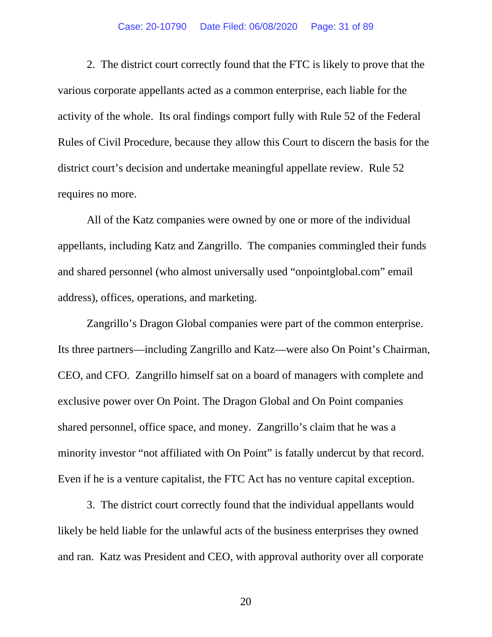#### Case: 20-10790 Date Filed: 06/08/2020 Page: 31 of 89

2. The district court correctly found that the FTC is likely to prove that the various corporate appellants acted as a common enterprise, each liable for the activity of the whole. Its oral findings comport fully with Rule 52 of the Federal Rules of Civil Procedure, because they allow this Court to discern the basis for the district court's decision and undertake meaningful appellate review. Rule 52 requires no more.

All of the Katz companies were owned by one or more of the individual appellants, including Katz and Zangrillo. The companies commingled their funds and shared personnel (who almost universally used "onpointglobal.com" email address), offices, operations, and marketing.

Zangrillo's Dragon Global companies were part of the common enterprise. Its three partners—including Zangrillo and Katz—were also On Point's Chairman, CEO, and CFO. Zangrillo himself sat on a board of managers with complete and exclusive power over On Point. The Dragon Global and On Point companies shared personnel, office space, and money. Zangrillo's claim that he was a minority investor "not affiliated with On Point" is fatally undercut by that record. Even if he is a venture capitalist, the FTC Act has no venture capital exception.

3. The district court correctly found that the individual appellants would likely be held liable for the unlawful acts of the business enterprises they owned and ran. Katz was President and CEO, with approval authority over all corporate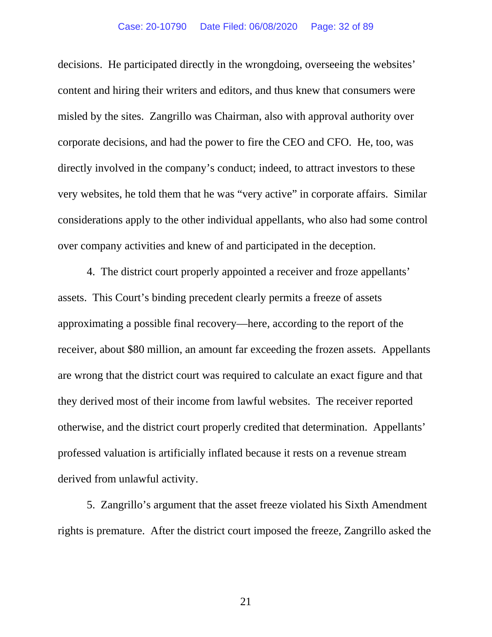decisions. He participated directly in the wrongdoing, overseeing the websites' content and hiring their writers and editors, and thus knew that consumers were misled by the sites. Zangrillo was Chairman, also with approval authority over corporate decisions, and had the power to fire the CEO and CFO. He, too, was directly involved in the company's conduct; indeed, to attract investors to these very websites, he told them that he was "very active" in corporate affairs. Similar considerations apply to the other individual appellants, who also had some control over company activities and knew of and participated in the deception.

4. The district court properly appointed a receiver and froze appellants' assets. This Court's binding precedent clearly permits a freeze of assets approximating a possible final recovery—here, according to the report of the receiver, about \$80 million, an amount far exceeding the frozen assets. Appellants are wrong that the district court was required to calculate an exact figure and that they derived most of their income from lawful websites. The receiver reported otherwise, and the district court properly credited that determination. Appellants' professed valuation is artificially inflated because it rests on a revenue stream derived from unlawful activity.

5. Zangrillo's argument that the asset freeze violated his Sixth Amendment rights is premature. After the district court imposed the freeze, Zangrillo asked the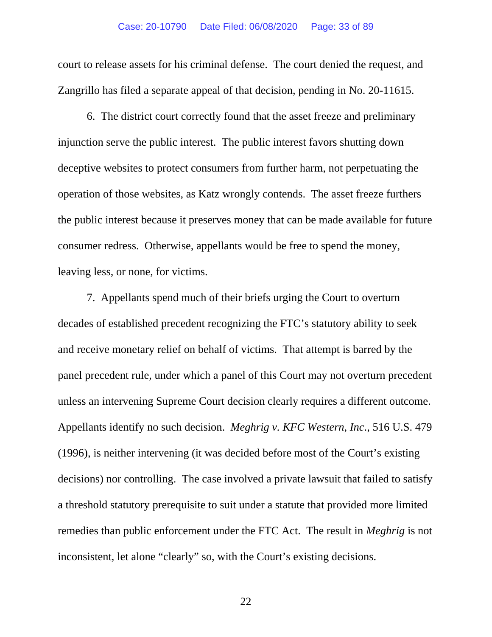court to release assets for his criminal defense. The court denied the request, and Zangrillo has filed a separate appeal of that decision, pending in No. 20-11615.

6. The district court correctly found that the asset freeze and preliminary injunction serve the public interest. The public interest favors shutting down deceptive websites to protect consumers from further harm, not perpetuating the operation of those websites, as Katz wrongly contends. The asset freeze furthers the public interest because it preserves money that can be made available for future consumer redress. Otherwise, appellants would be free to spend the money, leaving less, or none, for victims.

7. Appellants spend much of their briefs urging the Court to overturn decades of established precedent recognizing the FTC's statutory ability to seek and receive monetary relief on behalf of victims. That attempt is barred by the panel precedent rule, under which a panel of this Court may not overturn precedent unless an intervening Supreme Court decision clearly requires a different outcome. Appellants identify no such decision. *Meghrig v. KFC Western, Inc*., 516 U.S. 479 (1996), is neither intervening (it was decided before most of the Court's existing decisions) nor controlling. The case involved a private lawsuit that failed to satisfy a threshold statutory prerequisite to suit under a statute that provided more limited remedies than public enforcement under the FTC Act. The result in *Meghrig* is not inconsistent, let alone "clearly" so, with the Court's existing decisions.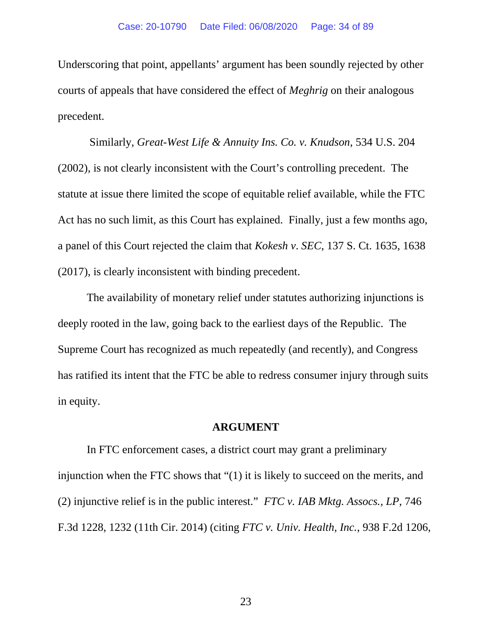Underscoring that point, appellants' argument has been soundly rejected by other courts of appeals that have considered the effect of *Meghrig* on their analogous precedent.

 Similarly, *Great-West Life & Annuity Ins. Co. v. Knudson*, 534 U.S. 204 (2002), is not clearly inconsistent with the Court's controlling precedent. The statute at issue there limited the scope of equitable relief available, while the FTC Act has no such limit, as this Court has explained. Finally, just a few months ago, a panel of this Court rejected the claim that *Kokesh v*. *SEC*, 137 S. Ct. 1635, 1638 (2017), is clearly inconsistent with binding precedent.

The availability of monetary relief under statutes authorizing injunctions is deeply rooted in the law, going back to the earliest days of the Republic. The Supreme Court has recognized as much repeatedly (and recently), and Congress has ratified its intent that the FTC be able to redress consumer injury through suits in equity.

#### **ARGUMENT**

In FTC enforcement cases, a district court may grant a preliminary injunction when the FTC shows that "(1) it is likely to succeed on the merits, and (2) injunctive relief is in the public interest." *FTC v. IAB Mktg. Assocs., LP*, 746 F.3d 1228, 1232 (11th Cir. 2014) (citing *FTC v. Univ. Health, Inc.*, 938 F.2d 1206,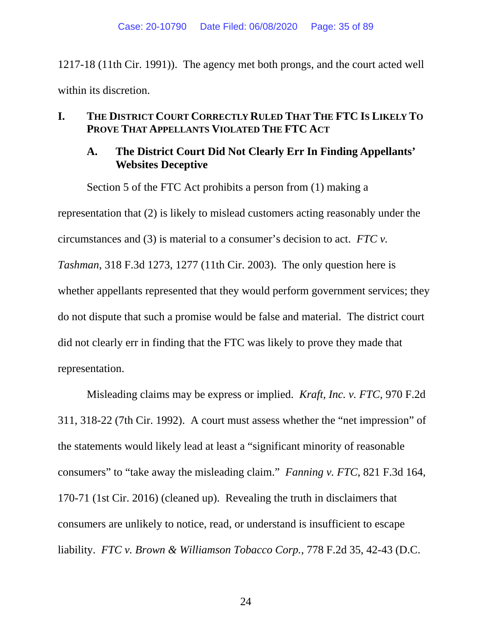1217-18 (11th Cir. 1991)). The agency met both prongs, and the court acted well within its discretion.

## **I. THE DISTRICT COURT CORRECTLY RULED THAT THE FTC IS LIKELY TO PROVE THAT APPELLANTS VIOLATED THE FTC ACT**

## **A. The District Court Did Not Clearly Err In Finding Appellants' Websites Deceptive**

Section 5 of the FTC Act prohibits a person from (1) making a

representation that (2) is likely to mislead customers acting reasonably under the circumstances and (3) is material to a consumer's decision to act. *FTC v. Tashman*, 318 F.3d 1273, 1277 (11th Cir. 2003). The only question here is whether appellants represented that they would perform government services; they do not dispute that such a promise would be false and material. The district court did not clearly err in finding that the FTC was likely to prove they made that representation.

Misleading claims may be express or implied. *Kraft, Inc. v. FTC*, 970 F.2d 311, 318-22 (7th Cir. 1992). A court must assess whether the "net impression" of the statements would likely lead at least a "significant minority of reasonable consumers" to "take away the misleading claim." *Fanning v. FTC*, 821 F.3d 164, 170-71 (1st Cir. 2016) (cleaned up). Revealing the truth in disclaimers that consumers are unlikely to notice, read, or understand is insufficient to escape liability. *FTC v. Brown & Williamson Tobacco Corp.*, 778 F.2d 35, 42-43 (D.C.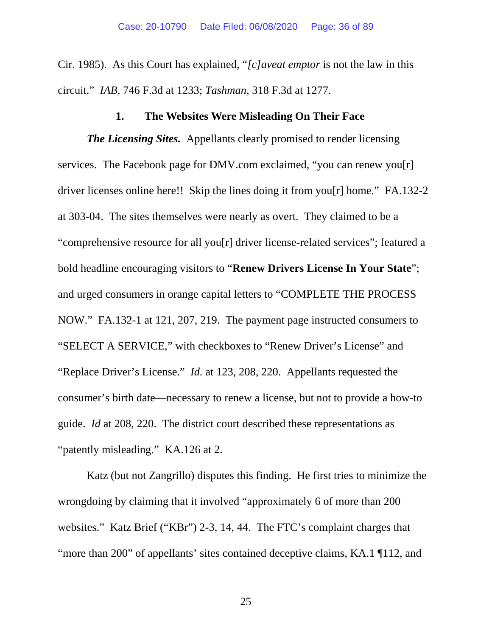Cir. 1985). As this Court has explained, "*[c]aveat emptor* is not the law in this circuit." *IAB*, 746 F.3d at 1233; *Tashman*, 318 F.3d at 1277.

### **1. The Websites Were Misleading On Their Face**

*The Licensing Sites.* Appellants clearly promised to render licensing services. The Facebook page for DMV.com exclaimed, "you can renew you[r] driver licenses online here!! Skip the lines doing it from you[r] home." FA.132-2 at 303-04. The sites themselves were nearly as overt. They claimed to be a "comprehensive resource for all you[r] driver license-related services"; featured a bold headline encouraging visitors to "**Renew Drivers License In Your State**"; and urged consumers in orange capital letters to "COMPLETE THE PROCESS NOW." FA.132-1 at 121, 207, 219. The payment page instructed consumers to "SELECT A SERVICE," with checkboxes to "Renew Driver's License" and "Replace Driver's License." *Id.* at 123, 208, 220. Appellants requested the consumer's birth date—necessary to renew a license, but not to provide a how-to guide. *Id* at 208, 220. The district court described these representations as "patently misleading." KA.126 at 2.

Katz (but not Zangrillo) disputes this finding. He first tries to minimize the wrongdoing by claiming that it involved "approximately 6 of more than 200 websites." Katz Brief ("KBr") 2-3, 14, 44. The FTC's complaint charges that "more than 200" of appellants' sites contained deceptive claims, KA.1 ¶112, and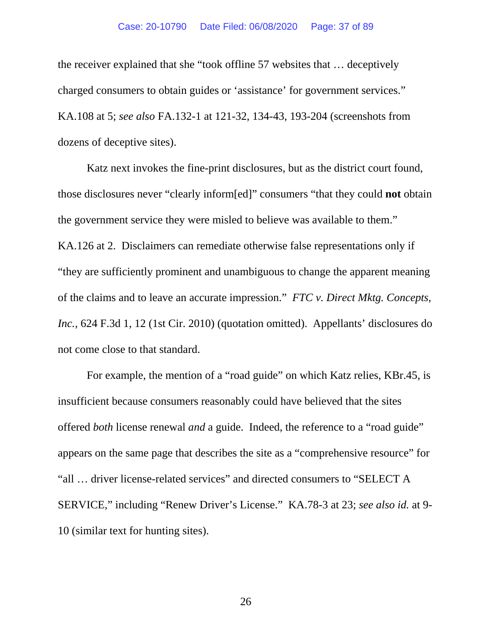#### Case: 20-10790 Date Filed: 06/08/2020 Page: 37 of 89

the receiver explained that she "took offline 57 websites that … deceptively charged consumers to obtain guides or 'assistance' for government services." KA.108 at 5; *see also* FA.132-1 at 121-32, 134-43, 193-204 (screenshots from dozens of deceptive sites).

Katz next invokes the fine-print disclosures, but as the district court found, those disclosures never "clearly inform[ed]" consumers "that they could **not** obtain the government service they were misled to believe was available to them." KA.126 at 2. Disclaimers can remediate otherwise false representations only if "they are sufficiently prominent and unambiguous to change the apparent meaning of the claims and to leave an accurate impression." *FTC v. Direct Mktg. Concepts, Inc.*, 624 F.3d 1, 12 (1st Cir. 2010) (quotation omitted). Appellants' disclosures do not come close to that standard.

For example, the mention of a "road guide" on which Katz relies, KBr.45, is insufficient because consumers reasonably could have believed that the sites offered *both* license renewal *and* a guide. Indeed, the reference to a "road guide" appears on the same page that describes the site as a "comprehensive resource" for "all … driver license-related services" and directed consumers to "SELECT A SERVICE," including "Renew Driver's License." KA.78-3 at 23; *see also id.* at 9- 10 (similar text for hunting sites).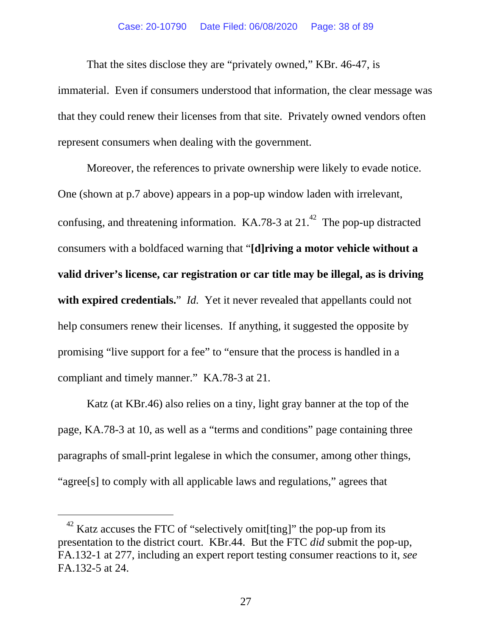#### Case: 20-10790 Date Filed: 06/08/2020 Page: 38 of 89

That the sites disclose they are "privately owned," KBr. 46-47, is immaterial. Even if consumers understood that information, the clear message was that they could renew their licenses from that site. Privately owned vendors often represent consumers when dealing with the government.

Moreover, the references to private ownership were likely to evade notice. One (shown at p.7 above) appears in a pop-up window laden with irrelevant, confusing, and threatening information.  $KA.78-3$  at 21.<sup>42</sup> The pop-up distracted consumers with a boldfaced warning that "**[d]riving a motor vehicle without a valid driver's license, car registration or car title may be illegal, as is driving with expired credentials.**" *Id.* Yet it never revealed that appellants could not help consumers renew their licenses. If anything, it suggested the opposite by promising "live support for a fee" to "ensure that the process is handled in a compliant and timely manner." KA.78-3 at 21*.*

Katz (at KBr.46) also relies on a tiny, light gray banner at the top of the page, KA.78-3 at 10, as well as a "terms and conditions" page containing three paragraphs of small-print legalese in which the consumer, among other things, "agree[s] to comply with all applicable laws and regulations," agrees that

 $\overline{a}$ 

 $42$  Katz accuses the FTC of "selectively omit[ting]" the pop-up from its presentation to the district court. KBr.44. But the FTC *did* submit the pop-up, FA.132-1 at 277, including an expert report testing consumer reactions to it, *see* FA.132-5 at 24.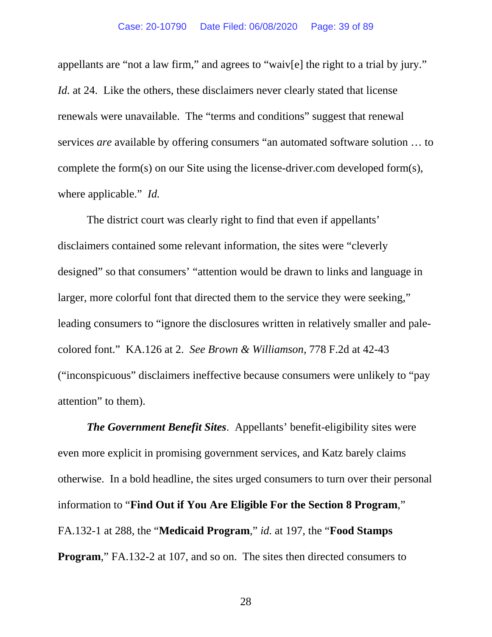appellants are "not a law firm," and agrees to "waiv[e] the right to a trial by jury." *Id.* at 24. Like the others, these disclaimers never clearly stated that license renewals were unavailable. The "terms and conditions" suggest that renewal services *are* available by offering consumers "an automated software solution … to complete the form(s) on our Site using the license-driver.com developed form(s), where applicable." *Id.*

The district court was clearly right to find that even if appellants' disclaimers contained some relevant information, the sites were "cleverly designed" so that consumers' "attention would be drawn to links and language in larger, more colorful font that directed them to the service they were seeking," leading consumers to "ignore the disclosures written in relatively smaller and palecolored font." KA.126 at 2. *See Brown & Williamson*, 778 F.2d at 42-43 ("inconspicuous" disclaimers ineffective because consumers were unlikely to "pay attention" to them).

*The Government Benefit Sites*. Appellants' benefit-eligibility sites were even more explicit in promising government services, and Katz barely claims otherwise. In a bold headline, the sites urged consumers to turn over their personal information to "**Find Out if You Are Eligible For the Section 8 Program**," FA.132-1 at 288, the "**Medicaid Program**," *id.* at 197, the "**Food Stamps Program**," FA.132-2 at 107, and so on. The sites then directed consumers to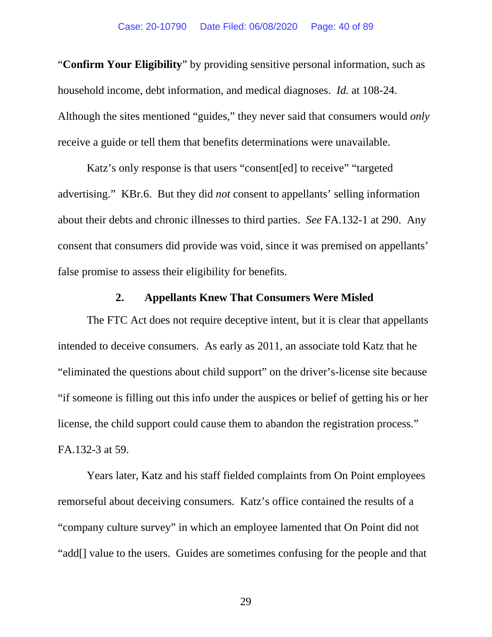"**Confirm Your Eligibility**" by providing sensitive personal information, such as household income, debt information, and medical diagnoses. *Id.* at 108-24. Although the sites mentioned "guides," they never said that consumers would *only* receive a guide or tell them that benefits determinations were unavailable.

Katz's only response is that users "consent[ed] to receive" "targeted advertising." KBr.6. But they did *not* consent to appellants' selling information about their debts and chronic illnesses to third parties. *See* FA.132-1 at 290. Any consent that consumers did provide was void, since it was premised on appellants' false promise to assess their eligibility for benefits.

## **2. Appellants Knew That Consumers Were Misled**

The FTC Act does not require deceptive intent, but it is clear that appellants intended to deceive consumers. As early as 2011, an associate told Katz that he "eliminated the questions about child support" on the driver's-license site because "if someone is filling out this info under the auspices or belief of getting his or her license, the child support could cause them to abandon the registration process." FA.132-3 at 59.

Years later, Katz and his staff fielded complaints from On Point employees remorseful about deceiving consumers. Katz's office contained the results of a "company culture survey" in which an employee lamented that On Point did not "add[] value to the users. Guides are sometimes confusing for the people and that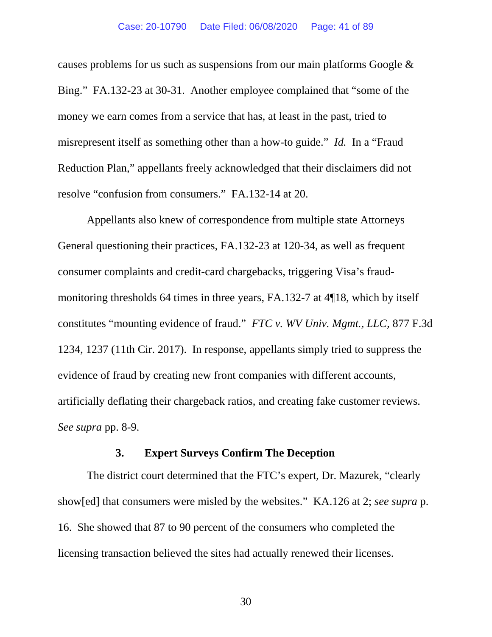causes problems for us such as suspensions from our main platforms Google & Bing." FA.132-23 at 30-31. Another employee complained that "some of the money we earn comes from a service that has, at least in the past, tried to misrepresent itself as something other than a how-to guide." *Id.* In a "Fraud Reduction Plan," appellants freely acknowledged that their disclaimers did not resolve "confusion from consumers." FA.132-14 at 20.

Appellants also knew of correspondence from multiple state Attorneys General questioning their practices, FA.132-23 at 120-34, as well as frequent consumer complaints and credit-card chargebacks, triggering Visa's fraudmonitoring thresholds 64 times in three years, FA.132-7 at 4¶18, which by itself constitutes "mounting evidence of fraud." *FTC v. WV Univ. Mgmt., LLC*, 877 F.3d 1234, 1237 (11th Cir. 2017). In response, appellants simply tried to suppress the evidence of fraud by creating new front companies with different accounts, artificially deflating their chargeback ratios, and creating fake customer reviews. *See supra* pp. 8-9.

### **3. Expert Surveys Confirm The Deception**

The district court determined that the FTC's expert, Dr. Mazurek, "clearly show[ed] that consumers were misled by the websites." KA.126 at 2; *see supra* p. 16. She showed that 87 to 90 percent of the consumers who completed the licensing transaction believed the sites had actually renewed their licenses.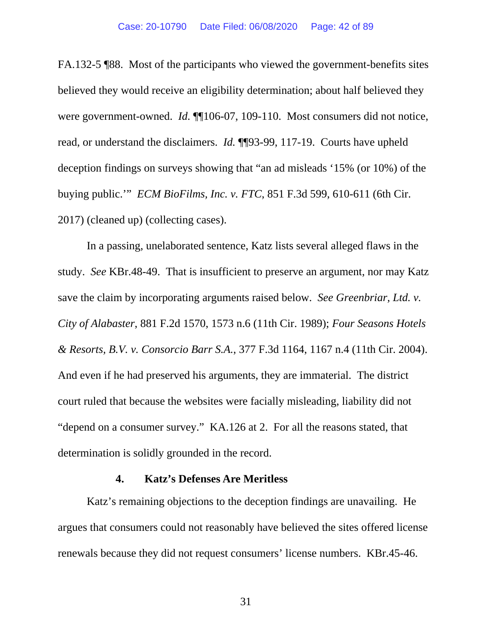FA.132-5 ¶88. Most of the participants who viewed the government-benefits sites believed they would receive an eligibility determination; about half believed they were government-owned. *Id.* ¶[106-07, 109-110. Most consumers did not notice, read, or understand the disclaimers. *Id.* ¶¶93-99, 117-19. Courts have upheld deception findings on surveys showing that "an ad misleads '15% (or 10%) of the buying public.'" *ECM BioFilms, Inc. v. FTC*, 851 F.3d 599, 610-611 (6th Cir. 2017) (cleaned up) (collecting cases).

In a passing, unelaborated sentence, Katz lists several alleged flaws in the study. *See* KBr.48-49. That is insufficient to preserve an argument, nor may Katz save the claim by incorporating arguments raised below. *See Greenbriar, Ltd. v. City of Alabaster*, 881 F.2d 1570, 1573 n.6 (11th Cir. 1989); *Four Seasons Hotels & Resorts, B.V. v. Consorcio Barr S.A.*, 377 F.3d 1164, 1167 n.4 (11th Cir. 2004). And even if he had preserved his arguments, they are immaterial. The district court ruled that because the websites were facially misleading, liability did not "depend on a consumer survey." KA.126 at 2. For all the reasons stated, that determination is solidly grounded in the record.

### **4. Katz's Defenses Are Meritless**

Katz's remaining objections to the deception findings are unavailing. He argues that consumers could not reasonably have believed the sites offered license renewals because they did not request consumers' license numbers. KBr.45-46.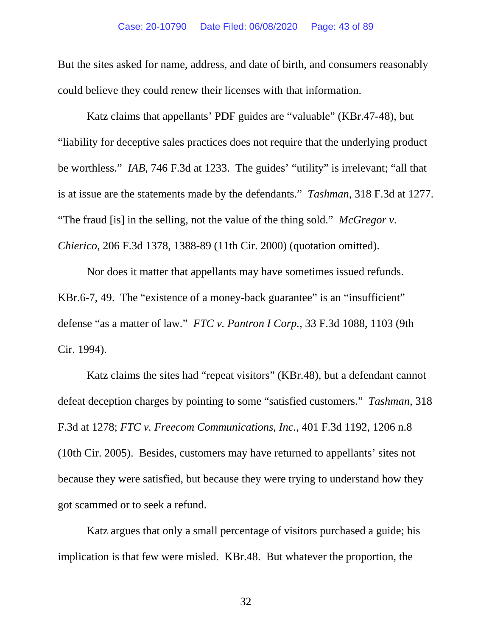But the sites asked for name, address, and date of birth, and consumers reasonably could believe they could renew their licenses with that information.

Katz claims that appellants' PDF guides are "valuable" (KBr.47-48), but "liability for deceptive sales practices does not require that the underlying product be worthless." *IAB*, 746 F.3d at 1233. The guides' "utility" is irrelevant; "all that is at issue are the statements made by the defendants." *Tashman*, 318 F.3d at 1277. "The fraud [is] in the selling, not the value of the thing sold." *McGregor v. Chierico*, 206 F.3d 1378, 1388-89 (11th Cir. 2000) (quotation omitted).

Nor does it matter that appellants may have sometimes issued refunds. KBr.6-7, 49. The "existence of a money-back guarantee" is an "insufficient" defense "as a matter of law." *FTC v. Pantron I Corp.*, 33 F.3d 1088, 1103 (9th Cir. 1994).

Katz claims the sites had "repeat visitors" (KBr.48), but a defendant cannot defeat deception charges by pointing to some "satisfied customers." *Tashman*, 318 F.3d at 1278; *FTC v. Freecom Communications, Inc.*, 401 F.3d 1192, 1206 n.8 (10th Cir. 2005). Besides, customers may have returned to appellants' sites not because they were satisfied, but because they were trying to understand how they got scammed or to seek a refund.

Katz argues that only a small percentage of visitors purchased a guide; his implication is that few were misled. KBr.48. But whatever the proportion, the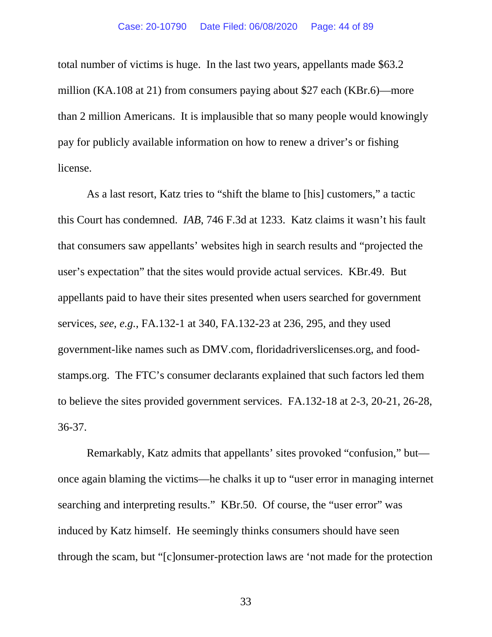total number of victims is huge. In the last two years, appellants made \$63.2 million (KA.108 at 21) from consumers paying about \$27 each (KBr.6)—more than 2 million Americans. It is implausible that so many people would knowingly pay for publicly available information on how to renew a driver's or fishing license.

As a last resort, Katz tries to "shift the blame to [his] customers," a tactic this Court has condemned. *IAB*, 746 F.3d at 1233. Katz claims it wasn't his fault that consumers saw appellants' websites high in search results and "projected the user's expectation" that the sites would provide actual services. KBr.49. But appellants paid to have their sites presented when users searched for government services, *see*, *e.g.*, FA.132-1 at 340, FA.132-23 at 236, 295, and they used government-like names such as DMV.com, floridadriverslicenses.org, and foodstamps.org. The FTC's consumer declarants explained that such factors led them to believe the sites provided government services. FA.132-18 at 2-3, 20-21, 26-28, 36-37.

Remarkably, Katz admits that appellants' sites provoked "confusion," but once again blaming the victims—he chalks it up to "user error in managing internet searching and interpreting results." KBr.50. Of course, the "user error" was induced by Katz himself. He seemingly thinks consumers should have seen through the scam, but "[c]onsumer-protection laws are 'not made for the protection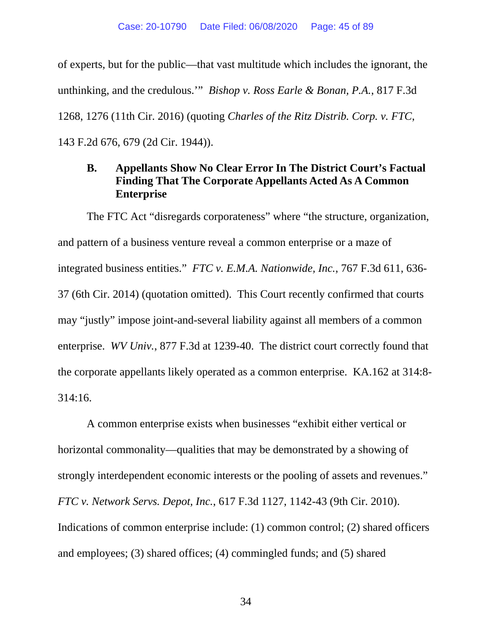of experts, but for the public—that vast multitude which includes the ignorant, the unthinking, and the credulous.'" *Bishop v. Ross Earle & Bonan, P.A.*, 817 F.3d 1268, 1276 (11th Cir. 2016) (quoting *Charles of the Ritz Distrib. Corp. v. FTC*, 143 F.2d 676, 679 (2d Cir. 1944)).

# **B. Appellants Show No Clear Error In The District Court's Factual Finding That The Corporate Appellants Acted As A Common Enterprise**

The FTC Act "disregards corporateness" where "the structure, organization, and pattern of a business venture reveal a common enterprise or a maze of integrated business entities." *FTC v. E.M.A. Nationwide, Inc.*, 767 F.3d 611, 636- 37 (6th Cir. 2014) (quotation omitted). This Court recently confirmed that courts may "justly" impose joint-and-several liability against all members of a common enterprise. *WV Univ.*, 877 F.3d at 1239-40. The district court correctly found that the corporate appellants likely operated as a common enterprise. KA.162 at 314:8- 314:16.

A common enterprise exists when businesses "exhibit either vertical or horizontal commonality—qualities that may be demonstrated by a showing of strongly interdependent economic interests or the pooling of assets and revenues." *FTC v. Network Servs. Depot, Inc.*, 617 F.3d 1127, 1142-43 (9th Cir. 2010). Indications of common enterprise include: (1) common control; (2) shared officers and employees; (3) shared offices; (4) commingled funds; and (5) shared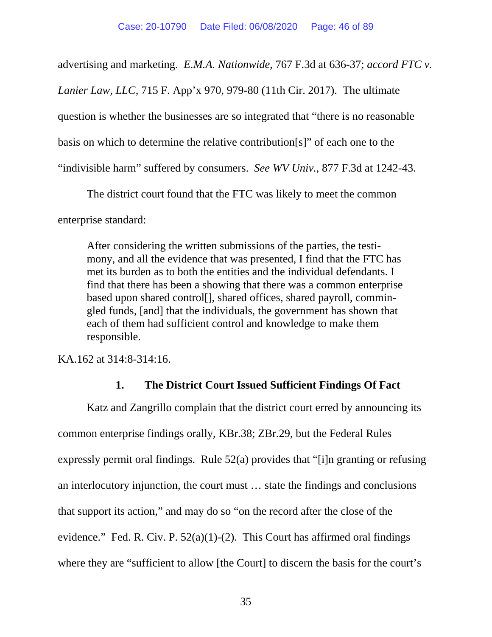advertising and marketing. *E.M.A. Nationwide*, 767 F.3d at 636-37; *accord FTC v.* 

*Lanier Law, LLC*, 715 F. App'x 970, 979-80 (11th Cir. 2017). The ultimate

question is whether the businesses are so integrated that "there is no reasonable

basis on which to determine the relative contribution[s]" of each one to the

"indivisible harm" suffered by consumers. *See WV Univ.*, 877 F.3d at 1242-43.

The district court found that the FTC was likely to meet the common

enterprise standard:

After considering the written submissions of the parties, the testimony, and all the evidence that was presented, I find that the FTC has met its burden as to both the entities and the individual defendants. I find that there has been a showing that there was a common enterprise based upon shared control[], shared offices, shared payroll, commingled funds, [and] that the individuals, the government has shown that each of them had sufficient control and knowledge to make them responsible.

KA.162 at 314:8-314:16.

## **1. The District Court Issued Sufficient Findings Of Fact**

Katz and Zangrillo complain that the district court erred by announcing its common enterprise findings orally, KBr.38; ZBr.29, but the Federal Rules expressly permit oral findings. Rule 52(a) provides that "[i]n granting or refusing an interlocutory injunction, the court must … state the findings and conclusions that support its action," and may do so "on the record after the close of the evidence." Fed. R. Civ. P.  $52(a)(1)-(2)$ . This Court has affirmed oral findings where they are "sufficient to allow [the Court] to discern the basis for the court's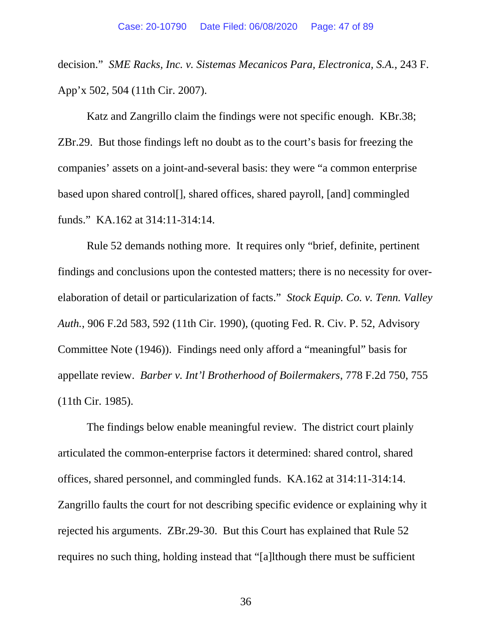decision." *SME Racks, Inc. v. Sistemas Mecanicos Para, Electronica, S.A.*, 243 F. App'x 502, 504 (11th Cir. 2007).

Katz and Zangrillo claim the findings were not specific enough. KBr.38; ZBr.29. But those findings left no doubt as to the court's basis for freezing the companies' assets on a joint-and-several basis: they were "a common enterprise based upon shared control[], shared offices, shared payroll, [and] commingled funds." KA.162 at 314:11-314:14.

Rule 52 demands nothing more. It requires only "brief, definite, pertinent findings and conclusions upon the contested matters; there is no necessity for overelaboration of detail or particularization of facts." *Stock Equip. Co. v. Tenn. Valley Auth.*, 906 F.2d 583, 592 (11th Cir. 1990), (quoting Fed. R. Civ. P. 52, Advisory Committee Note (1946)). Findings need only afford a "meaningful" basis for appellate review. *Barber v. Int'l Brotherhood of Boilermakers*, 778 F.2d 750, 755 (11th Cir. 1985).

The findings below enable meaningful review. The district court plainly articulated the common-enterprise factors it determined: shared control, shared offices, shared personnel, and commingled funds. KA.162 at 314:11-314:14. Zangrillo faults the court for not describing specific evidence or explaining why it rejected his arguments. ZBr.29-30. But this Court has explained that Rule 52 requires no such thing, holding instead that "[a]lthough there must be sufficient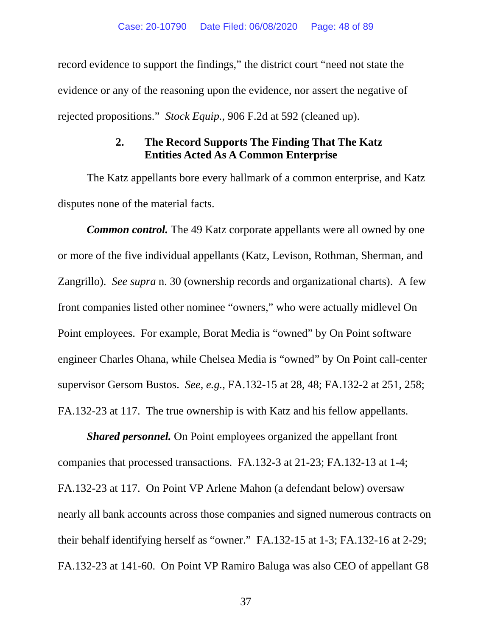record evidence to support the findings," the district court "need not state the evidence or any of the reasoning upon the evidence, nor assert the negative of rejected propositions." *Stock Equip.*, 906 F.2d at 592 (cleaned up).

# **2. The Record Supports The Finding That The Katz Entities Acted As A Common Enterprise**

The Katz appellants bore every hallmark of a common enterprise, and Katz disputes none of the material facts.

*Common control.* The 49 Katz corporate appellants were all owned by one or more of the five individual appellants (Katz, Levison, Rothman, Sherman, and Zangrillo). *See supra* n. 30 (ownership records and organizational charts). A few front companies listed other nominee "owners," who were actually midlevel On Point employees. For example, Borat Media is "owned" by On Point software engineer Charles Ohana, while Chelsea Media is "owned" by On Point call-center supervisor Gersom Bustos. *See*, *e.g.*, FA.132-15 at 28, 48; FA.132-2 at 251, 258; FA.132-23 at 117. The true ownership is with Katz and his fellow appellants.

*Shared personnel.* On Point employees organized the appellant front companies that processed transactions. FA.132-3 at 21-23; FA.132-13 at 1-4; FA.132-23 at 117. On Point VP Arlene Mahon (a defendant below) oversaw nearly all bank accounts across those companies and signed numerous contracts on their behalf identifying herself as "owner." FA.132-15 at 1-3; FA.132-16 at 2-29; FA.132-23 at 141-60. On Point VP Ramiro Baluga was also CEO of appellant G8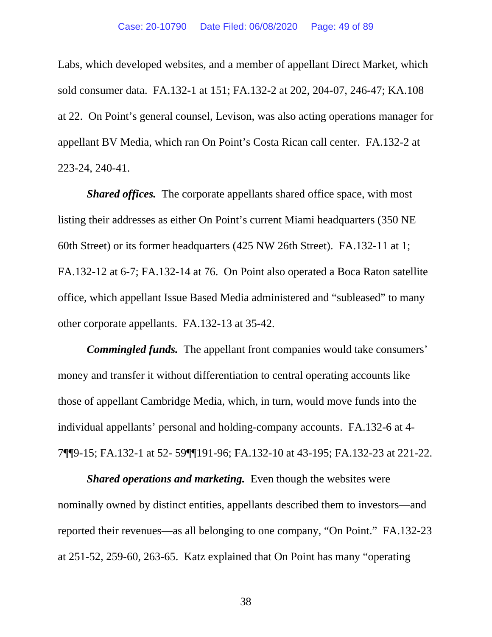Labs, which developed websites, and a member of appellant Direct Market, which sold consumer data. FA.132-1 at 151; FA.132-2 at 202, 204-07, 246-47; KA.108 at 22. On Point's general counsel, Levison, was also acting operations manager for appellant BV Media, which ran On Point's Costa Rican call center. FA.132-2 at 223-24, 240-41.

*Shared offices.* The corporate appellants shared office space, with most listing their addresses as either On Point's current Miami headquarters (350 NE 60th Street) or its former headquarters (425 NW 26th Street). FA.132-11 at 1; FA.132-12 at 6-7; FA.132-14 at 76. On Point also operated a Boca Raton satellite office, which appellant Issue Based Media administered and "subleased" to many other corporate appellants. FA.132-13 at 35-42.

*Commingled funds.* The appellant front companies would take consumers' money and transfer it without differentiation to central operating accounts like those of appellant Cambridge Media, which, in turn, would move funds into the individual appellants' personal and holding-company accounts. FA.132-6 at 4- 7¶¶9-15; FA.132-1 at 52- 59¶¶191-96; FA.132-10 at 43-195; FA.132-23 at 221-22.

*Shared operations and marketing.* Even though the websites were nominally owned by distinct entities, appellants described them to investors—and reported their revenues—as all belonging to one company, "On Point." FA.132-23 at 251-52, 259-60, 263-65. Katz explained that On Point has many "operating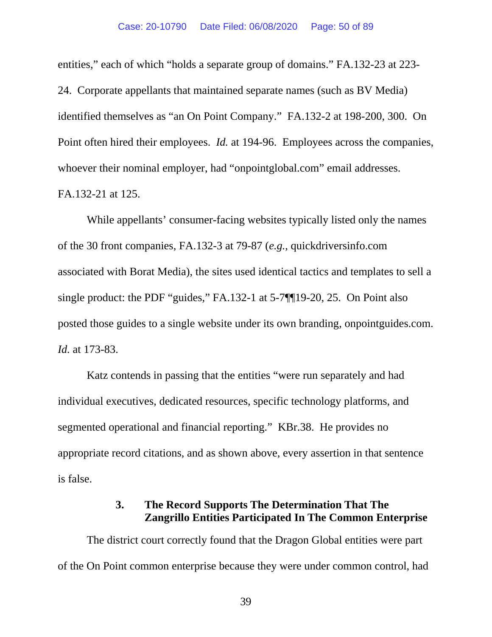entities," each of which "holds a separate group of domains." FA.132-23 at 223- 24. Corporate appellants that maintained separate names (such as BV Media) identified themselves as "an On Point Company." FA.132-2 at 198-200, 300. On Point often hired their employees. *Id.* at 194-96. Employees across the companies, whoever their nominal employer, had "onpointglobal.com" email addresses. FA.132-21 at 125.

While appellants' consumer-facing websites typically listed only the names of the 30 front companies, FA.132-3 at 79-87 (*e.g.*, quickdriversinfo.com associated with Borat Media), the sites used identical tactics and templates to sell a single product: the PDF "guides," FA.132-1 at 5-7¶¶19-20, 25. On Point also posted those guides to a single website under its own branding, onpointguides.com. *Id.* at 173-83.

Katz contends in passing that the entities "were run separately and had individual executives, dedicated resources, specific technology platforms, and segmented operational and financial reporting." KBr.38. He provides no appropriate record citations, and as shown above, every assertion in that sentence is false.

## **3. The Record Supports The Determination That The Zangrillo Entities Participated In The Common Enterprise**

The district court correctly found that the Dragon Global entities were part of the On Point common enterprise because they were under common control, had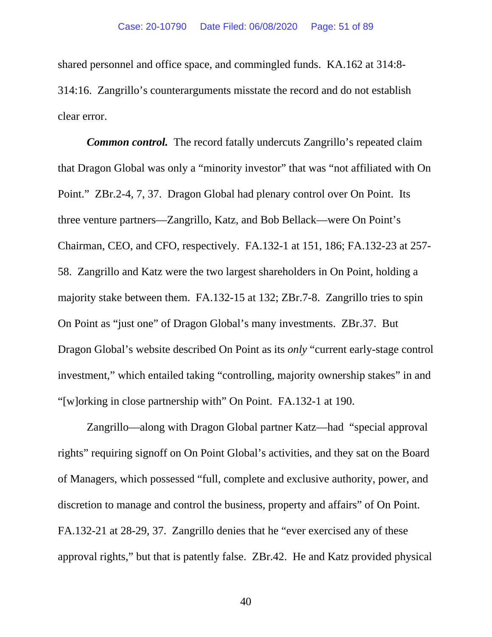shared personnel and office space, and commingled funds. KA.162 at 314:8- 314:16. Zangrillo's counterarguments misstate the record and do not establish clear error.

*Common control.* The record fatally undercuts Zangrillo's repeated claim that Dragon Global was only a "minority investor" that was "not affiliated with On Point." ZBr.2-4, 7, 37. Dragon Global had plenary control over On Point. Its three venture partners—Zangrillo, Katz, and Bob Bellack—were On Point's Chairman, CEO, and CFO, respectively. FA.132-1 at 151, 186; FA.132-23 at 257- 58. Zangrillo and Katz were the two largest shareholders in On Point, holding a majority stake between them. FA.132-15 at 132; ZBr.7-8. Zangrillo tries to spin On Point as "just one" of Dragon Global's many investments. ZBr.37. But Dragon Global's website described On Point as its *only* "current early-stage control investment," which entailed taking "controlling, majority ownership stakes" in and "[w]orking in close partnership with" On Point. FA.132-1 at 190.

Zangrillo—along with Dragon Global partner Katz—had "special approval rights" requiring signoff on On Point Global's activities, and they sat on the Board of Managers, which possessed "full, complete and exclusive authority, power, and discretion to manage and control the business, property and affairs" of On Point. FA.132-21 at 28-29, 37. Zangrillo denies that he "ever exercised any of these approval rights," but that is patently false. ZBr.42. He and Katz provided physical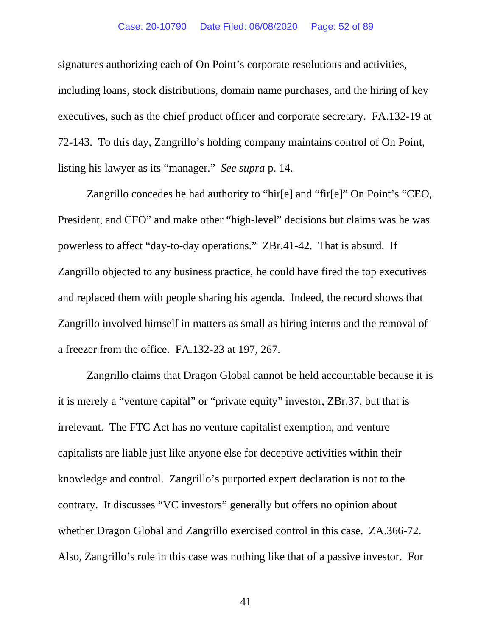#### Case: 20-10790 Date Filed: 06/08/2020 Page: 52 of 89

signatures authorizing each of On Point's corporate resolutions and activities, including loans, stock distributions, domain name purchases, and the hiring of key executives, such as the chief product officer and corporate secretary. FA.132-19 at 72-143. To this day, Zangrillo's holding company maintains control of On Point, listing his lawyer as its "manager." *See supra* p. 14.

Zangrillo concedes he had authority to "hir[e] and "fir[e]" On Point's "CEO, President, and CFO" and make other "high-level" decisions but claims was he was powerless to affect "day-to-day operations." ZBr.41-42. That is absurd. If Zangrillo objected to any business practice, he could have fired the top executives and replaced them with people sharing his agenda. Indeed, the record shows that Zangrillo involved himself in matters as small as hiring interns and the removal of a freezer from the office. FA.132-23 at 197, 267.

Zangrillo claims that Dragon Global cannot be held accountable because it is it is merely a "venture capital" or "private equity" investor, ZBr.37, but that is irrelevant. The FTC Act has no venture capitalist exemption, and venture capitalists are liable just like anyone else for deceptive activities within their knowledge and control. Zangrillo's purported expert declaration is not to the contrary. It discusses "VC investors" generally but offers no opinion about whether Dragon Global and Zangrillo exercised control in this case. ZA.366-72. Also, Zangrillo's role in this case was nothing like that of a passive investor. For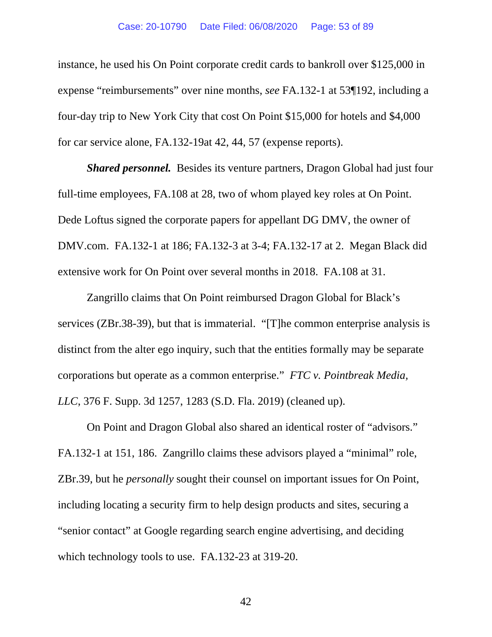instance, he used his On Point corporate credit cards to bankroll over \$125,000 in expense "reimbursements" over nine months, *see* FA.132-1 at 53¶192, including a four-day trip to New York City that cost On Point \$15,000 for hotels and \$4,000 for car service alone, FA.132-19at 42, 44, 57 (expense reports).

*Shared personnel.* Besides its venture partners, Dragon Global had just four full-time employees, FA.108 at 28, two of whom played key roles at On Point. Dede Loftus signed the corporate papers for appellant DG DMV, the owner of DMV.com. FA.132-1 at 186; FA.132-3 at 3-4; FA.132-17 at 2. Megan Black did extensive work for On Point over several months in 2018. FA.108 at 31.

Zangrillo claims that On Point reimbursed Dragon Global for Black's services (ZBr.38-39), but that is immaterial. "[T]he common enterprise analysis is distinct from the alter ego inquiry, such that the entities formally may be separate corporations but operate as a common enterprise." *FTC v. Pointbreak Media, LLC*, 376 F. Supp. 3d 1257, 1283 (S.D. Fla. 2019) (cleaned up).

On Point and Dragon Global also shared an identical roster of "advisors." FA.132-1 at 151, 186. Zangrillo claims these advisors played a "minimal" role, ZBr.39, but he *personally* sought their counsel on important issues for On Point, including locating a security firm to help design products and sites, securing a "senior contact" at Google regarding search engine advertising, and deciding which technology tools to use. FA.132-23 at 319-20.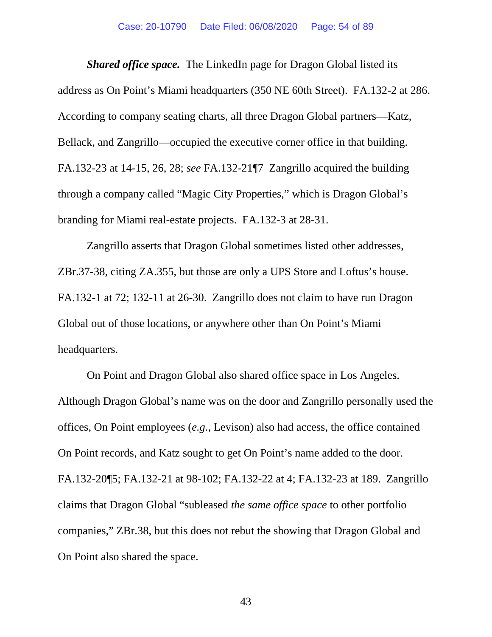*Shared office space.* The LinkedIn page for Dragon Global listed its address as On Point's Miami headquarters (350 NE 60th Street). FA.132-2 at 286. According to company seating charts, all three Dragon Global partners—Katz, Bellack, and Zangrillo—occupied the executive corner office in that building. FA.132-23 at 14-15, 26, 28; *see* FA.132-21¶7 Zangrillo acquired the building through a company called "Magic City Properties," which is Dragon Global's branding for Miami real-estate projects. FA.132-3 at 28-31.

Zangrillo asserts that Dragon Global sometimes listed other addresses, ZBr.37-38, citing ZA.355, but those are only a UPS Store and Loftus's house. FA.132-1 at 72; 132-11 at 26-30. Zangrillo does not claim to have run Dragon Global out of those locations, or anywhere other than On Point's Miami headquarters.

On Point and Dragon Global also shared office space in Los Angeles. Although Dragon Global's name was on the door and Zangrillo personally used the offices, On Point employees (*e.g.*, Levison) also had access, the office contained On Point records, and Katz sought to get On Point's name added to the door. FA.132-20¶5; FA.132-21 at 98-102; FA.132-22 at 4; FA.132-23 at 189. Zangrillo claims that Dragon Global "subleased *the same office space* to other portfolio companies," ZBr.38, but this does not rebut the showing that Dragon Global and On Point also shared the space.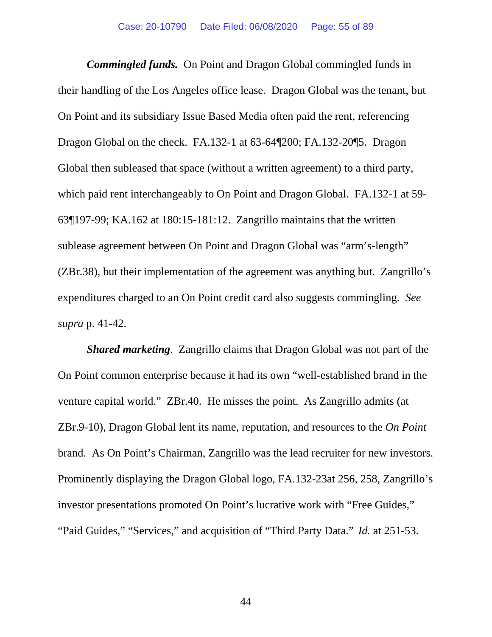*Commingled funds.* On Point and Dragon Global commingled funds in their handling of the Los Angeles office lease. Dragon Global was the tenant, but On Point and its subsidiary Issue Based Media often paid the rent, referencing Dragon Global on the check. FA.132-1 at 63-64¶200; FA.132-20¶5. Dragon Global then subleased that space (without a written agreement) to a third party, which paid rent interchangeably to On Point and Dragon Global. FA.132-1 at 59- 63¶197-99; KA.162 at 180:15-181:12. Zangrillo maintains that the written sublease agreement between On Point and Dragon Global was "arm's-length" (ZBr.38), but their implementation of the agreement was anything but. Zangrillo's expenditures charged to an On Point credit card also suggests commingling. *See supra* p. 41-42.

*Shared marketing*. Zangrillo claims that Dragon Global was not part of the On Point common enterprise because it had its own "well-established brand in the venture capital world." ZBr.40. He misses the point. As Zangrillo admits (at ZBr.9-10), Dragon Global lent its name, reputation, and resources to the *On Point* brand. As On Point's Chairman, Zangrillo was the lead recruiter for new investors. Prominently displaying the Dragon Global logo, FA.132-23at 256, 258, Zangrillo's investor presentations promoted On Point's lucrative work with "Free Guides," "Paid Guides," "Services," and acquisition of "Third Party Data." *Id.* at 251-53.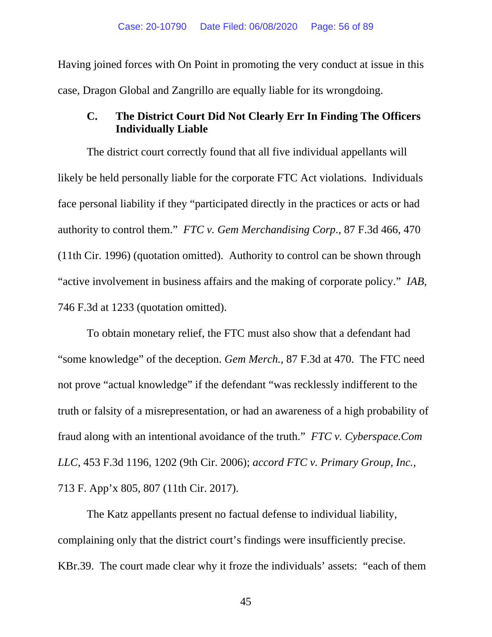Having joined forces with On Point in promoting the very conduct at issue in this case, Dragon Global and Zangrillo are equally liable for its wrongdoing.

## **C. The District Court Did Not Clearly Err In Finding The Officers Individually Liable**

The district court correctly found that all five individual appellants will likely be held personally liable for the corporate FTC Act violations. Individuals face personal liability if they "participated directly in the practices or acts or had authority to control them." *FTC v. Gem Merchandising Corp*., 87 F.3d 466, 470 (11th Cir. 1996) (quotation omitted). Authority to control can be shown through "active involvement in business affairs and the making of corporate policy." *IAB*, 746 F.3d at 1233 (quotation omitted).

To obtain monetary relief, the FTC must also show that a defendant had "some knowledge" of the deception. *Gem Merch.*, 87 F.3d at 470. The FTC need not prove "actual knowledge" if the defendant "was recklessly indifferent to the truth or falsity of a misrepresentation, or had an awareness of a high probability of fraud along with an intentional avoidance of the truth." *FTC v. Cyberspace.Com LLC*, 453 F.3d 1196, 1202 (9th Cir. 2006); *accord FTC v. Primary Group, Inc.*, 713 F. App'x 805, 807 (11th Cir. 2017).

The Katz appellants present no factual defense to individual liability, complaining only that the district court's findings were insufficiently precise. KBr.39. The court made clear why it froze the individuals' assets: "each of them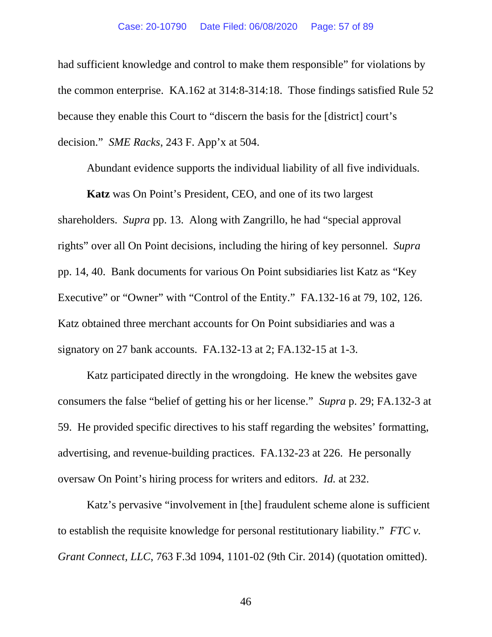had sufficient knowledge and control to make them responsible" for violations by the common enterprise. KA.162 at 314:8-314:18. Those findings satisfied Rule 52 because they enable this Court to "discern the basis for the [district] court's decision." *SME Racks*, 243 F. App'x at 504.

Abundant evidence supports the individual liability of all five individuals.

**Katz** was On Point's President, CEO, and one of its two largest shareholders. *Supra* pp. 13. Along with Zangrillo, he had "special approval rights" over all On Point decisions, including the hiring of key personnel. *Supra* pp. 14, 40. Bank documents for various On Point subsidiaries list Katz as "Key Executive" or "Owner" with "Control of the Entity." FA.132-16 at 79, 102, 126. Katz obtained three merchant accounts for On Point subsidiaries and was a signatory on 27 bank accounts. FA.132-13 at 2; FA.132-15 at 1-3.

Katz participated directly in the wrongdoing. He knew the websites gave consumers the false "belief of getting his or her license." *Supra* p. 29; FA.132-3 at 59. He provided specific directives to his staff regarding the websites' formatting, advertising, and revenue-building practices. FA.132-23 at 226. He personally oversaw On Point's hiring process for writers and editors. *Id.* at 232.

Katz's pervasive "involvement in [the] fraudulent scheme alone is sufficient to establish the requisite knowledge for personal restitutionary liability." *FTC v. Grant Connect, LLC*, 763 F.3d 1094, 1101-02 (9th Cir. 2014) (quotation omitted).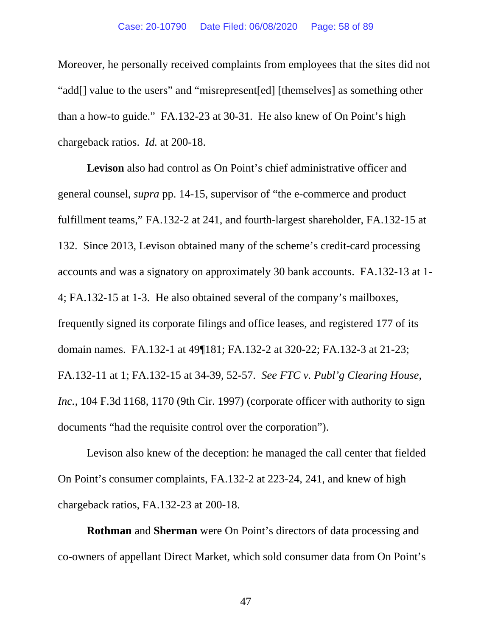Moreover, he personally received complaints from employees that the sites did not "add[] value to the users" and "misrepresent[ed] [themselves] as something other than a how-to guide." FA.132-23 at 30-31. He also knew of On Point's high chargeback ratios. *Id.* at 200-18.

**Levison** also had control as On Point's chief administrative officer and general counsel, *supra* pp. 14-15, supervisor of "the e-commerce and product fulfillment teams," FA.132-2 at 241, and fourth-largest shareholder, FA.132-15 at 132. Since 2013, Levison obtained many of the scheme's credit-card processing accounts and was a signatory on approximately 30 bank accounts. FA.132-13 at 1- 4; FA.132-15 at 1-3. He also obtained several of the company's mailboxes, frequently signed its corporate filings and office leases, and registered 177 of its domain names. FA.132-1 at 49¶181; FA.132-2 at 320-22; FA.132-3 at 21-23; FA.132-11 at 1; FA.132-15 at 34-39, 52-57. *See FTC v. Publ'g Clearing House, Inc.*, 104 F.3d 1168, 1170 (9th Cir. 1997) (corporate officer with authority to sign documents "had the requisite control over the corporation").

Levison also knew of the deception: he managed the call center that fielded On Point's consumer complaints, FA.132-2 at 223-24, 241, and knew of high chargeback ratios, FA.132-23 at 200-18.

**Rothman** and **Sherman** were On Point's directors of data processing and co-owners of appellant Direct Market, which sold consumer data from On Point's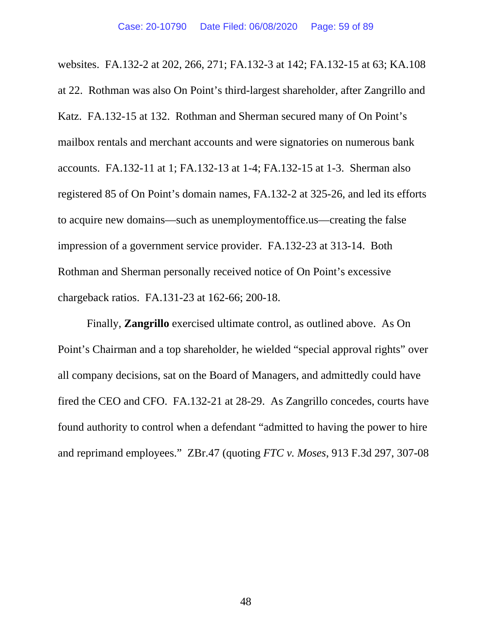websites. FA.132-2 at 202, 266, 271; FA.132-3 at 142; FA.132-15 at 63; KA.108 at 22. Rothman was also On Point's third-largest shareholder, after Zangrillo and Katz. FA.132-15 at 132. Rothman and Sherman secured many of On Point's mailbox rentals and merchant accounts and were signatories on numerous bank accounts. FA.132-11 at 1; FA.132-13 at 1-4; FA.132-15 at 1-3. Sherman also registered 85 of On Point's domain names, FA.132-2 at 325-26, and led its efforts to acquire new domains—such as unemploymentoffice.us—creating the false impression of a government service provider. FA.132-23 at 313-14. Both Rothman and Sherman personally received notice of On Point's excessive chargeback ratios. FA.131-23 at 162-66; 200-18.

Finally, **Zangrillo** exercised ultimate control, as outlined above. As On Point's Chairman and a top shareholder, he wielded "special approval rights" over all company decisions, sat on the Board of Managers, and admittedly could have fired the CEO and CFO. FA.132-21 at 28-29. As Zangrillo concedes, courts have found authority to control when a defendant "admitted to having the power to hire and reprimand employees." ZBr.47 (quoting *FTC v. Moses*, 913 F.3d 297, 307-08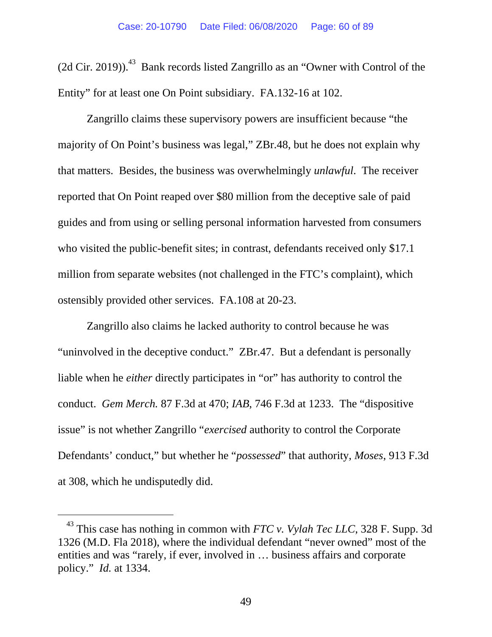(2d Cir. 2019)). $^{43}$  Bank records listed Zangrillo as an "Owner with Control of the Entity" for at least one On Point subsidiary. FA.132-16 at 102.

Zangrillo claims these supervisory powers are insufficient because "the majority of On Point's business was legal," ZBr.48, but he does not explain why that matters. Besides, the business was overwhelmingly *unlawful*. The receiver reported that On Point reaped over \$80 million from the deceptive sale of paid guides and from using or selling personal information harvested from consumers who visited the public-benefit sites; in contrast, defendants received only \$17.1 million from separate websites (not challenged in the FTC's complaint), which ostensibly provided other services. FA.108 at 20-23.

Zangrillo also claims he lacked authority to control because he was "uninvolved in the deceptive conduct." ZBr.47. But a defendant is personally liable when he *either* directly participates in "or" has authority to control the conduct. *Gem Merch.* 87 F.3d at 470; *IAB*, 746 F.3d at 1233. The "dispositive issue" is not whether Zangrillo "*exercised* authority to control the Corporate Defendants' conduct," but whether he "*possessed*" that authority, *Moses*, 913 F.3d at 308, which he undisputedly did.

-

 $43$  This case has nothing in common with *FTC v. Vylah Tec LLC*, 328 F. Supp. 3d 1326 (M.D. Fla 2018), where the individual defendant "never owned" most of the entities and was "rarely, if ever, involved in … business affairs and corporate policy." *Id.* at 1334.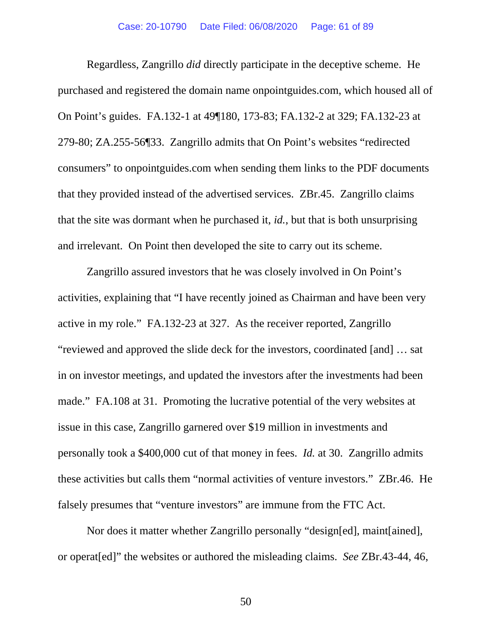Regardless, Zangrillo *did* directly participate in the deceptive scheme. He purchased and registered the domain name onpointguides.com, which housed all of On Point's guides. FA.132-1 at 49¶180, 173-83; FA.132-2 at 329; FA.132-23 at 279-80; ZA.255-56¶33. Zangrillo admits that On Point's websites "redirected consumers" to onpointguides.com when sending them links to the PDF documents that they provided instead of the advertised services. ZBr.45. Zangrillo claims that the site was dormant when he purchased it, *id.*, but that is both unsurprising and irrelevant. On Point then developed the site to carry out its scheme.

Zangrillo assured investors that he was closely involved in On Point's activities, explaining that "I have recently joined as Chairman and have been very active in my role." FA.132-23 at 327. As the receiver reported, Zangrillo "reviewed and approved the slide deck for the investors, coordinated [and] … sat in on investor meetings, and updated the investors after the investments had been made." FA.108 at 31. Promoting the lucrative potential of the very websites at issue in this case, Zangrillo garnered over \$19 million in investments and personally took a \$400,000 cut of that money in fees. *Id.* at 30. Zangrillo admits these activities but calls them "normal activities of venture investors." ZBr.46. He falsely presumes that "venture investors" are immune from the FTC Act.

Nor does it matter whether Zangrillo personally "design[ed], maint[ained], or operat[ed]" the websites or authored the misleading claims. *See* ZBr.43-44, 46,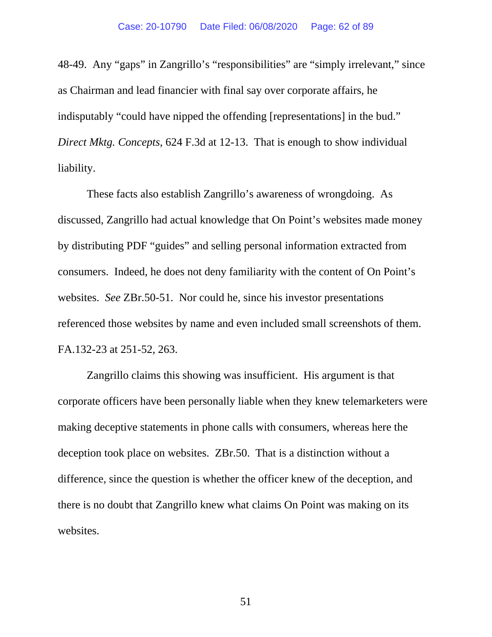48-49. Any "gaps" in Zangrillo's "responsibilities" are "simply irrelevant," since as Chairman and lead financier with final say over corporate affairs, he indisputably "could have nipped the offending [representations] in the bud." *Direct Mktg. Concepts*, 624 F.3d at 12-13. That is enough to show individual liability.

These facts also establish Zangrillo's awareness of wrongdoing. As discussed, Zangrillo had actual knowledge that On Point's websites made money by distributing PDF "guides" and selling personal information extracted from consumers. Indeed, he does not deny familiarity with the content of On Point's websites. *See* ZBr.50-51. Nor could he, since his investor presentations referenced those websites by name and even included small screenshots of them. FA.132-23 at 251-52, 263.

Zangrillo claims this showing was insufficient. His argument is that corporate officers have been personally liable when they knew telemarketers were making deceptive statements in phone calls with consumers, whereas here the deception took place on websites. ZBr.50. That is a distinction without a difference, since the question is whether the officer knew of the deception, and there is no doubt that Zangrillo knew what claims On Point was making on its websites.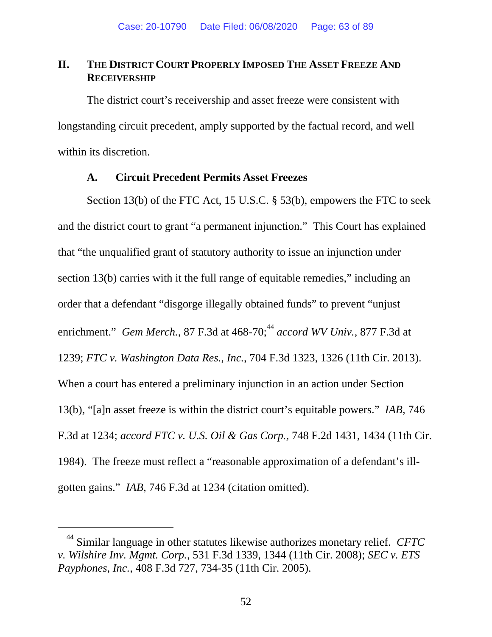## **II. THE DISTRICT COURT PROPERLY IMPOSED THE ASSET FREEZE AND RECEIVERSHIP**

The district court's receivership and asset freeze were consistent with longstanding circuit precedent, amply supported by the factual record, and well within its discretion.

## **A. Circuit Precedent Permits Asset Freezes**

Section 13(b) of the FTC Act, 15 U.S.C. § 53(b), empowers the FTC to seek and the district court to grant "a permanent injunction." This Court has explained that "the unqualified grant of statutory authority to issue an injunction under section 13(b) carries with it the full range of equitable remedies," including an order that a defendant "disgorge illegally obtained funds" to prevent "unjust enrichment." *Gem Merch.*, 87 F.3d at 468-70;<sup>44</sup> *accord WV Univ.*, 877 F.3d at 1239; *FTC v. Washington Data Res., Inc.*, 704 F.3d 1323, 1326 (11th Cir. 2013). When a court has entered a preliminary injunction in an action under Section 13(b), "[a]n asset freeze is within the district court's equitable powers." *IAB,* 746 F.3d at 1234; *accord FTC v. U.S. Oil & Gas Corp.*, 748 F.2d 1431, 1434 (11th Cir. 1984). The freeze must reflect a "reasonable approximation of a defendant's illgotten gains." *IAB*, 746 F.3d at 1234 (citation omitted).

-

<sup>44</sup> Similar language in other statutes likewise authorizes monetary relief. *CFTC v. Wilshire Inv. Mgmt. Corp.*, 531 F.3d 1339, 1344 (11th Cir. 2008); *SEC v. ETS Payphones, Inc.*, 408 F.3d 727, 734-35 (11th Cir. 2005).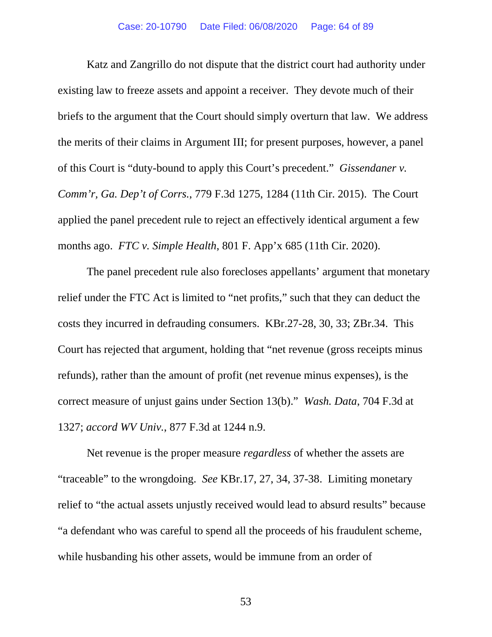Katz and Zangrillo do not dispute that the district court had authority under existing law to freeze assets and appoint a receiver. They devote much of their briefs to the argument that the Court should simply overturn that law. We address the merits of their claims in Argument III; for present purposes, however, a panel of this Court is "duty-bound to apply this Court's precedent." *Gissendaner v. Comm'r, Ga. Dep't of Corrs.*, 779 F.3d 1275, 1284 (11th Cir. 2015). The Court applied the panel precedent rule to reject an effectively identical argument a few months ago. *FTC v. Simple Health*, 801 F. App'x 685 (11th Cir. 2020).

The panel precedent rule also forecloses appellants' argument that monetary relief under the FTC Act is limited to "net profits," such that they can deduct the costs they incurred in defrauding consumers. KBr.27-28, 30, 33; ZBr.34. This Court has rejected that argument, holding that "net revenue (gross receipts minus refunds), rather than the amount of profit (net revenue minus expenses), is the correct measure of unjust gains under Section 13(b)." *Wash. Data*, 704 F.3d at 1327; *accord WV Univ.*, 877 F.3d at 1244 n.9.

 Net revenue is the proper measure *regardless* of whether the assets are "traceable" to the wrongdoing. *See* KBr.17, 27, 34, 37-38. Limiting monetary relief to "the actual assets unjustly received would lead to absurd results" because "a defendant who was careful to spend all the proceeds of his fraudulent scheme, while husbanding his other assets, would be immune from an order of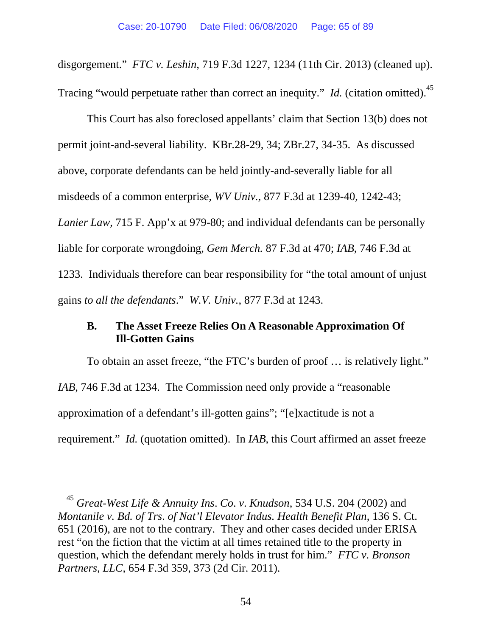disgorgement." *FTC v. Leshin*, 719 F.3d 1227, 1234 (11th Cir. 2013) (cleaned up). Tracing "would perpetuate rather than correct an inequity." *Id.* (citation omitted).<sup>45</sup>

This Court has also foreclosed appellants' claim that Section 13(b) does not permit joint-and-several liability. KBr.28-29, 34; ZBr.27, 34-35. As discussed above, corporate defendants can be held jointly-and-severally liable for all misdeeds of a common enterprise, *WV Univ.*, 877 F.3d at 1239-40, 1242-43; *Lanier Law*, 715 F. App'x at 979-80; and individual defendants can be personally liable for corporate wrongdoing, *Gem Merch.* 87 F.3d at 470; *IAB*, 746 F.3d at 1233. Individuals therefore can bear responsibility for "the total amount of unjust gains *to all the defendants*." *W.V. Univ.*, 877 F.3d at 1243.

# **B. The Asset Freeze Relies On A Reasonable Approximation Of Ill-Gotten Gains**

To obtain an asset freeze, "the FTC's burden of proof … is relatively light." *IAB*, 746 F.3d at 1234. The Commission need only provide a "reasonable approximation of a defendant's ill-gotten gains"; "[e]xactitude is not a requirement." *Id.* (quotation omitted). In *IAB*, this Court affirmed an asset freeze

 $\overline{a}$ 

<sup>45</sup> *Great-West Life & Annuity Ins*. *Co*. *v*. *Knudson*, 534 U.S. 204 (2002) and *Montanile v. Bd. of Trs*. *of Nat'l Elevator Indus. Health Benefit Plan*, 136 S. Ct. 651 (2016), are not to the contrary. They and other cases decided under ERISA rest "on the fiction that the victim at all times retained title to the property in question, which the defendant merely holds in trust for him." *FTC v*. *Bronson Partners*, *LLC*, 654 F.3d 359, 373 (2d Cir. 2011).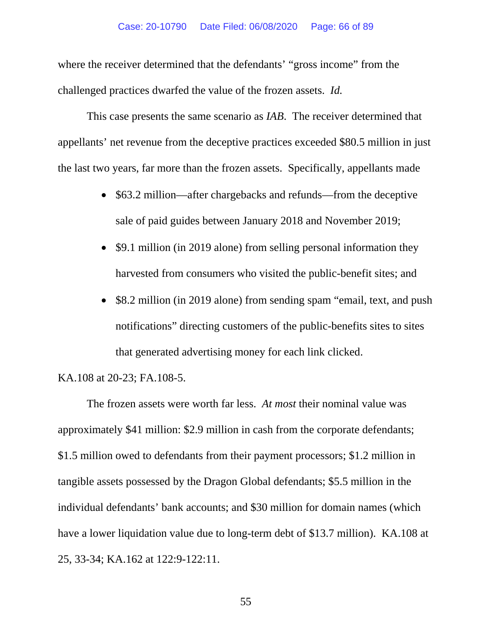where the receiver determined that the defendants' "gross income" from the challenged practices dwarfed the value of the frozen assets. *Id.*

This case presents the same scenario as *IAB*. The receiver determined that appellants' net revenue from the deceptive practices exceeded \$80.5 million in just the last two years, far more than the frozen assets. Specifically, appellants made

- \$63.2 million—after chargebacks and refunds—from the deceptive sale of paid guides between January 2018 and November 2019;
- \$9.1 million (in 2019 alone) from selling personal information they harvested from consumers who visited the public-benefit sites; and
- \$8.2 million (in 2019 alone) from sending spam "email, text, and push notifications" directing customers of the public-benefits sites to sites that generated advertising money for each link clicked.

# KA.108 at 20-23; FA.108-5.

 The frozen assets were worth far less. *At most* their nominal value was approximately \$41 million: \$2.9 million in cash from the corporate defendants; \$1.5 million owed to defendants from their payment processors; \$1.2 million in tangible assets possessed by the Dragon Global defendants; \$5.5 million in the individual defendants' bank accounts; and \$30 million for domain names (which have a lower liquidation value due to long-term debt of \$13.7 million). KA.108 at 25, 33-34; KA.162 at 122:9-122:11.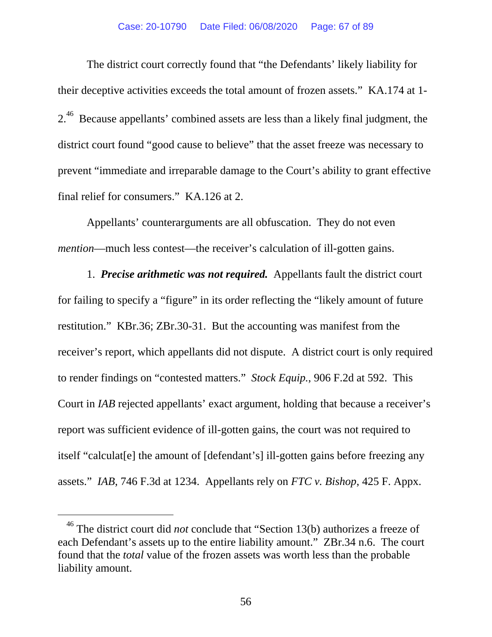The district court correctly found that "the Defendants' likely liability for their deceptive activities exceeds the total amount of frozen assets." KA.174 at 1- 2<sup>.46</sup> Because appellants' combined assets are less than a likely final judgment, the district court found "good cause to believe" that the asset freeze was necessary to prevent "immediate and irreparable damage to the Court's ability to grant effective final relief for consumers." KA.126 at 2.

Appellants' counterarguments are all obfuscation. They do not even *mention*—much less contest—the receiver's calculation of ill-gotten gains.

1. *Precise arithmetic was not required.* Appellants fault the district court for failing to specify a "figure" in its order reflecting the "likely amount of future restitution." KBr.36; ZBr.30-31. But the accounting was manifest from the receiver's report, which appellants did not dispute. A district court is only required to render findings on "contested matters." *Stock Equip.*, 906 F.2d at 592. This Court in *IAB* rejected appellants' exact argument, holding that because a receiver's report was sufficient evidence of ill-gotten gains, the court was not required to itself "calculat[e] the amount of [defendant's] ill-gotten gains before freezing any assets." *IAB*, 746 F.3d at 1234. Appellants rely on *FTC v. Bishop*, 425 F. Appx.

-

<sup>46</sup> The district court did *not* conclude that "Section 13(b) authorizes a freeze of each Defendant's assets up to the entire liability amount." ZBr.34 n.6. The court found that the *total* value of the frozen assets was worth less than the probable liability amount.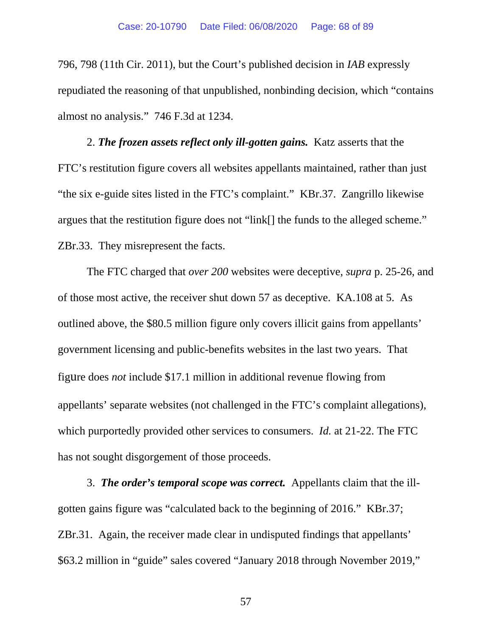796, 798 (11th Cir. 2011), but the Court's published decision in *IAB* expressly repudiated the reasoning of that unpublished, nonbinding decision, which "contains almost no analysis." 746 F.3d at 1234.

2. *The frozen assets reflect only ill-gotten gains.* Katz asserts that the FTC's restitution figure covers all websites appellants maintained, rather than just "the six e-guide sites listed in the FTC's complaint." KBr.37. Zangrillo likewise argues that the restitution figure does not "link[] the funds to the alleged scheme." ZBr.33. They misrepresent the facts.

The FTC charged that *over 200* websites were deceptive, *supra* p. 25-26, and of those most active, the receiver shut down 57 as deceptive. KA.108 at 5. As outlined above, the \$80.5 million figure only covers illicit gains from appellants' government licensing and public-benefits websites in the last two years. That figure does *not* include \$17.1 million in additional revenue flowing from appellants' separate websites (not challenged in the FTC's complaint allegations), which purportedly provided other services to consumers. *Id.* at 21-22. The FTC has not sought disgorgement of those proceeds.

3. *The order's temporal scope was correct.* Appellants claim that the illgotten gains figure was "calculated back to the beginning of 2016." KBr.37; ZBr.31. Again, the receiver made clear in undisputed findings that appellants' \$63.2 million in "guide" sales covered "January 2018 through November 2019,"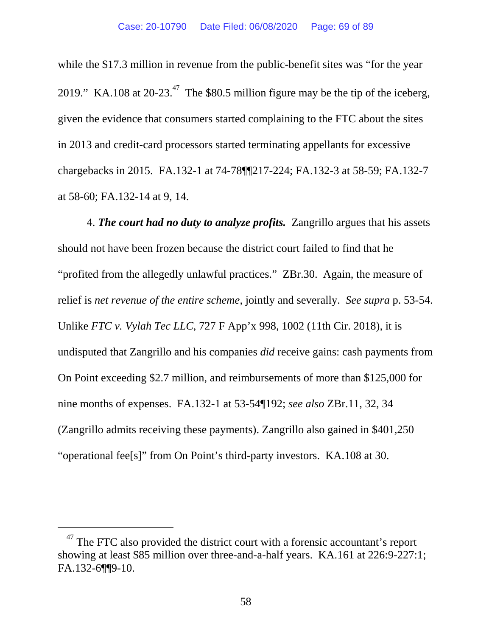while the \$17.3 million in revenue from the public-benefit sites was "for the year" 2019." KA.108 at  $20-23$ .<sup>47</sup> The \$80.5 million figure may be the tip of the iceberg, given the evidence that consumers started complaining to the FTC about the sites in 2013 and credit-card processors started terminating appellants for excessive chargebacks in 2015. FA.132-1 at 74-78¶¶217-224; FA.132-3 at 58-59; FA.132-7 at 58-60; FA.132-14 at 9, 14.

4. *The court had no duty to analyze profits.* Zangrillo argues that his assets should not have been frozen because the district court failed to find that he "profited from the allegedly unlawful practices." ZBr.30. Again, the measure of relief is *net revenue of the entire scheme*, jointly and severally. *See supra* p. 53-54. Unlike *FTC v. Vylah Tec LLC*, 727 F App'x 998, 1002 (11th Cir. 2018), it is undisputed that Zangrillo and his companies *did* receive gains: cash payments from On Point exceeding \$2.7 million, and reimbursements of more than \$125,000 for nine months of expenses. FA.132-1 at 53-54¶192; *see also* ZBr.11, 32, 34 (Zangrillo admits receiving these payments). Zangrillo also gained in \$401,250 "operational fee[s]" from On Point's third-party investors. KA.108 at 30.

-

 $47$  The FTC also provided the district court with a forensic accountant's report showing at least \$85 million over three-and-a-half years. KA.161 at 226:9-227:1; FA.132-6¶¶9-10.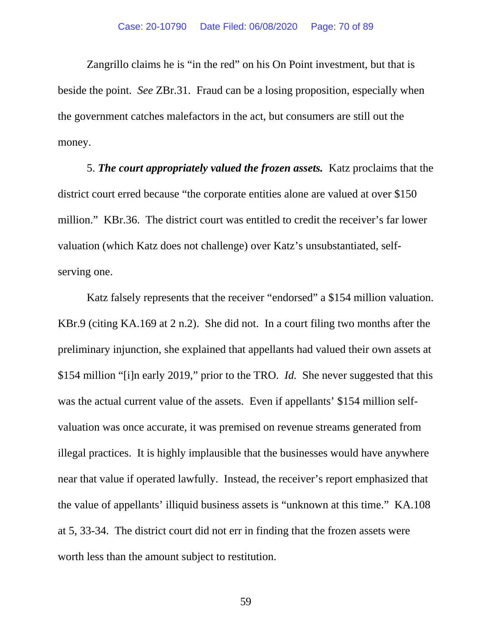Zangrillo claims he is "in the red" on his On Point investment, but that is beside the point. *See* ZBr.31. Fraud can be a losing proposition, especially when the government catches malefactors in the act, but consumers are still out the money.

5. *The court appropriately valued the frozen assets.* Katz proclaims that the district court erred because "the corporate entities alone are valued at over \$150 million." KBr.36. The district court was entitled to credit the receiver's far lower valuation (which Katz does not challenge) over Katz's unsubstantiated, selfserving one.

Katz falsely represents that the receiver "endorsed" a \$154 million valuation. KBr.9 (citing KA.169 at 2 n.2). She did not. In a court filing two months after the preliminary injunction, she explained that appellants had valued their own assets at \$154 million "[i]n early 2019," prior to the TRO. *Id.* She never suggested that this was the actual current value of the assets. Even if appellants' \$154 million selfvaluation was once accurate, it was premised on revenue streams generated from illegal practices. It is highly implausible that the businesses would have anywhere near that value if operated lawfully. Instead, the receiver's report emphasized that the value of appellants' illiquid business assets is "unknown at this time." KA.108 at 5, 33-34. The district court did not err in finding that the frozen assets were worth less than the amount subject to restitution.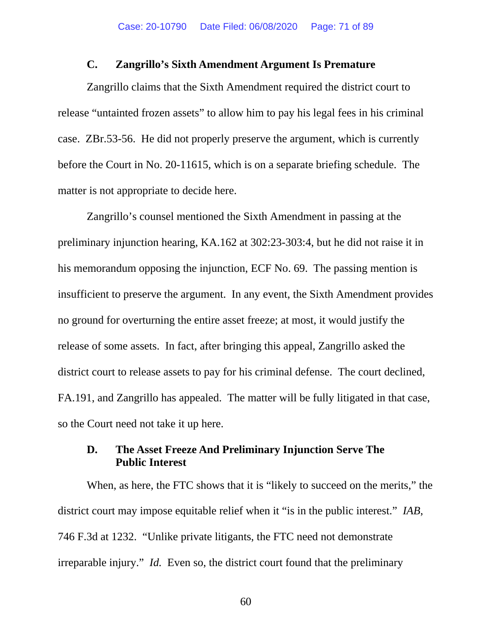### **C. Zangrillo's Sixth Amendment Argument Is Premature**

Zangrillo claims that the Sixth Amendment required the district court to release "untainted frozen assets" to allow him to pay his legal fees in his criminal case. ZBr.53-56. He did not properly preserve the argument, which is currently before the Court in No. 20-11615, which is on a separate briefing schedule. The matter is not appropriate to decide here.

Zangrillo's counsel mentioned the Sixth Amendment in passing at the preliminary injunction hearing, KA.162 at 302:23-303:4, but he did not raise it in his memorandum opposing the injunction, ECF No. 69. The passing mention is insufficient to preserve the argument. In any event, the Sixth Amendment provides no ground for overturning the entire asset freeze; at most, it would justify the release of some assets. In fact, after bringing this appeal, Zangrillo asked the district court to release assets to pay for his criminal defense. The court declined, FA.191, and Zangrillo has appealed. The matter will be fully litigated in that case, so the Court need not take it up here.

# **D. The Asset Freeze And Preliminary Injunction Serve The Public Interest**

When, as here, the FTC shows that it is "likely to succeed on the merits," the district court may impose equitable relief when it "is in the public interest." *IAB*, 746 F.3d at 1232. "Unlike private litigants, the FTC need not demonstrate irreparable injury." *Id.* Even so, the district court found that the preliminary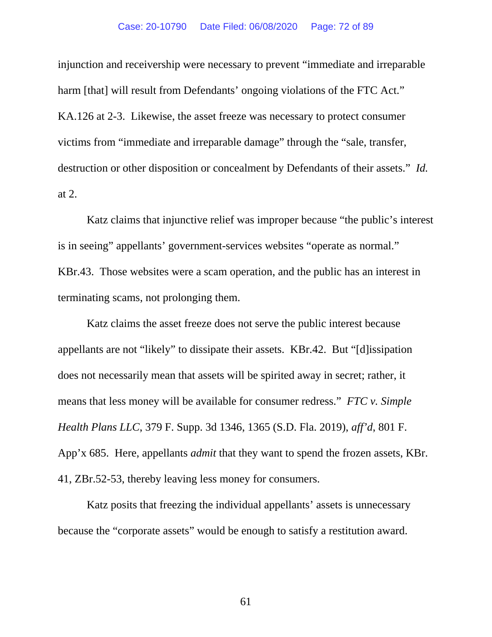injunction and receivership were necessary to prevent "immediate and irreparable harm [that] will result from Defendants' ongoing violations of the FTC Act." KA.126 at 2-3. Likewise, the asset freeze was necessary to protect consumer victims from "immediate and irreparable damage" through the "sale, transfer, destruction or other disposition or concealment by Defendants of their assets." *Id.* at 2.

Katz claims that injunctive relief was improper because "the public's interest is in seeing" appellants' government-services websites "operate as normal." KBr.43. Those websites were a scam operation, and the public has an interest in terminating scams, not prolonging them.

Katz claims the asset freeze does not serve the public interest because appellants are not "likely" to dissipate their assets. KBr.42. But "[d]issipation does not necessarily mean that assets will be spirited away in secret; rather, it means that less money will be available for consumer redress." *FTC v. Simple Health Plans LLC*, 379 F. Supp. 3d 1346, 1365 (S.D. Fla. 2019), *aff'd*, 801 F. App'x 685. Here, appellants *admit* that they want to spend the frozen assets, KBr. 41, ZBr.52-53, thereby leaving less money for consumers.

Katz posits that freezing the individual appellants' assets is unnecessary because the "corporate assets" would be enough to satisfy a restitution award.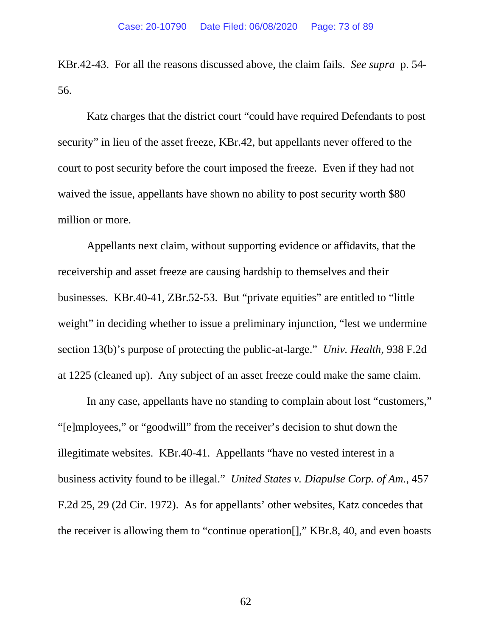KBr.42-43. For all the reasons discussed above, the claim fails. *See supra* p. 54- 56.

Katz charges that the district court "could have required Defendants to post security" in lieu of the asset freeze, KBr.42, but appellants never offered to the court to post security before the court imposed the freeze. Even if they had not waived the issue, appellants have shown no ability to post security worth \$80 million or more.

Appellants next claim, without supporting evidence or affidavits, that the receivership and asset freeze are causing hardship to themselves and their businesses. KBr.40-41, ZBr.52-53. But "private equities" are entitled to "little weight" in deciding whether to issue a preliminary injunction, "lest we undermine" section 13(b)'s purpose of protecting the public-at-large." *Univ. Health*, 938 F.2d at 1225 (cleaned up). Any subject of an asset freeze could make the same claim.

In any case, appellants have no standing to complain about lost "customers," "[e]mployees," or "goodwill" from the receiver's decision to shut down the illegitimate websites. KBr.40-41. Appellants "have no vested interest in a business activity found to be illegal." *United States v. Diapulse Corp. of Am.*, 457 F.2d 25, 29 (2d Cir. 1972). As for appellants' other websites, Katz concedes that the receiver is allowing them to "continue operation[]," KBr.8, 40, and even boasts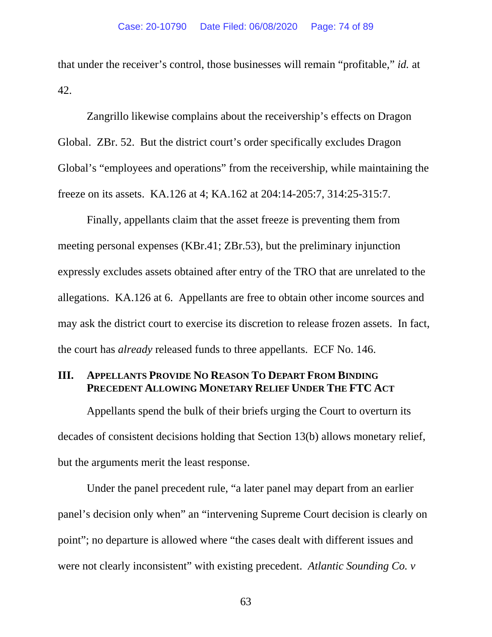that under the receiver's control, those businesses will remain "profitable," *id.* at 42.

Zangrillo likewise complains about the receivership's effects on Dragon Global. ZBr. 52. But the district court's order specifically excludes Dragon Global's "employees and operations" from the receivership, while maintaining the freeze on its assets. KA.126 at 4; KA.162 at 204:14-205:7, 314:25-315:7.

Finally, appellants claim that the asset freeze is preventing them from meeting personal expenses (KBr.41; ZBr.53), but the preliminary injunction expressly excludes assets obtained after entry of the TRO that are unrelated to the allegations. KA.126 at 6. Appellants are free to obtain other income sources and may ask the district court to exercise its discretion to release frozen assets. In fact, the court has *already* released funds to three appellants. ECF No. 146.

## **III. APPELLANTS PROVIDE NO REASON TO DEPART FROM BINDING PRECEDENT ALLOWING MONETARY RELIEF UNDER THE FTC ACT**

Appellants spend the bulk of their briefs urging the Court to overturn its decades of consistent decisions holding that Section 13(b) allows monetary relief, but the arguments merit the least response.

Under the panel precedent rule, "a later panel may depart from an earlier panel's decision only when" an "intervening Supreme Court decision is clearly on point"; no departure is allowed where "the cases dealt with different issues and were not clearly inconsistent" with existing precedent. *Atlantic Sounding Co. v*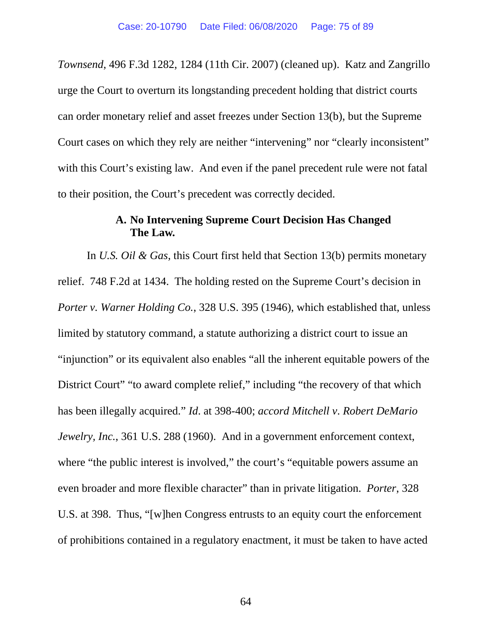*Townsend*, 496 F.3d 1282, 1284 (11th Cir. 2007) (cleaned up). Katz and Zangrillo urge the Court to overturn its longstanding precedent holding that district courts can order monetary relief and asset freezes under Section 13(b), but the Supreme Court cases on which they rely are neither "intervening" nor "clearly inconsistent" with this Court's existing law. And even if the panel precedent rule were not fatal to their position, the Court's precedent was correctly decided.

### **A. No Intervening Supreme Court Decision Has Changed The Law.**

In *U.S. Oil & Gas*, this Court first held that Section 13(b) permits monetary relief. 748 F.2d at 1434. The holding rested on the Supreme Court's decision in *Porter v. Warner Holding Co.*, 328 U.S. 395 (1946), which established that, unless limited by statutory command, a statute authorizing a district court to issue an "injunction" or its equivalent also enables "all the inherent equitable powers of the District Court" "to award complete relief," including "the recovery of that which has been illegally acquired." *Id*. at 398-400; *accord Mitchell v*. *Robert DeMario Jewelry, Inc.*, 361 U.S. 288 (1960). And in a government enforcement context, where "the public interest is involved," the court's "equitable powers assume an even broader and more flexible character" than in private litigation. *Porter*, 328 U.S. at 398. Thus, "[w]hen Congress entrusts to an equity court the enforcement of prohibitions contained in a regulatory enactment, it must be taken to have acted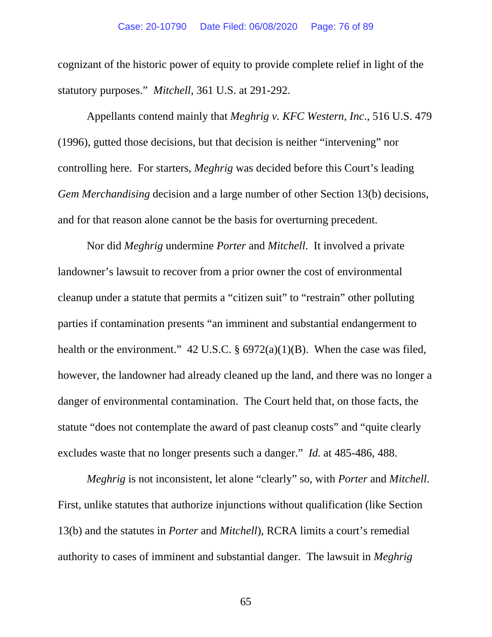cognizant of the historic power of equity to provide complete relief in light of the statutory purposes." *Mitchell*, 361 U.S. at 291-292.

Appellants contend mainly that *Meghrig v. KFC Western, Inc*., 516 U.S. 479 (1996), gutted those decisions, but that decision is neither "intervening" nor controlling here. For starters, *Meghrig* was decided before this Court's leading *Gem Merchandising* decision and a large number of other Section 13(b) decisions, and for that reason alone cannot be the basis for overturning precedent.

Nor did *Meghrig* undermine *Porter* and *Mitchell*. It involved a private landowner's lawsuit to recover from a prior owner the cost of environmental cleanup under a statute that permits a "citizen suit" to "restrain" other polluting parties if contamination presents "an imminent and substantial endangerment to health or the environment." 42 U.S.C.  $\S 6972(a)(1)(B)$ . When the case was filed, however, the landowner had already cleaned up the land, and there was no longer a danger of environmental contamination. The Court held that, on those facts, the statute "does not contemplate the award of past cleanup costs" and "quite clearly excludes waste that no longer presents such a danger." *Id.* at 485-486, 488.

*Meghrig* is not inconsistent, let alone "clearly" so, with *Porter* and *Mitchell*. First, unlike statutes that authorize injunctions without qualification (like Section 13(b) and the statutes in *Porter* and *Mitchell*), RCRA limits a court's remedial authority to cases of imminent and substantial danger. The lawsuit in *Meghrig*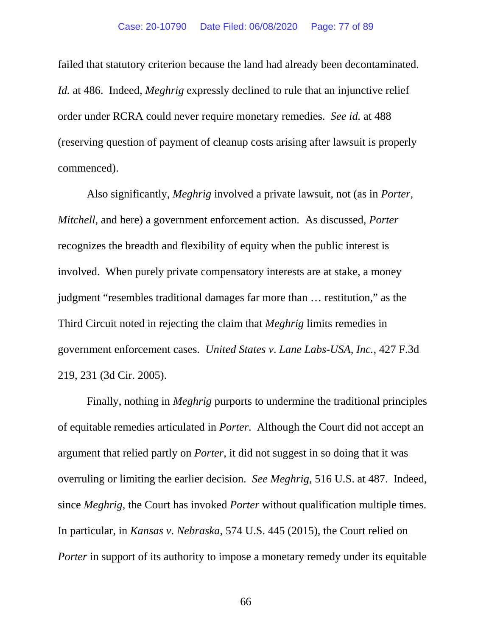failed that statutory criterion because the land had already been decontaminated. *Id.* at 486. Indeed, *Meghrig* expressly declined to rule that an injunctive relief order under RCRA could never require monetary remedies. *See id.* at 488 (reserving question of payment of cleanup costs arising after lawsuit is properly commenced).

Also significantly, *Meghrig* involved a private lawsuit, not (as in *Porter*, *Mitchell*, and here) a government enforcement action. As discussed, *Porter* recognizes the breadth and flexibility of equity when the public interest is involved. When purely private compensatory interests are at stake, a money judgment "resembles traditional damages far more than … restitution," as the Third Circuit noted in rejecting the claim that *Meghrig* limits remedies in government enforcement cases. *United States v*. *Lane Labs-USA, Inc.*, 427 F.3d 219, 231 (3d Cir. 2005).

Finally, nothing in *Meghrig* purports to undermine the traditional principles of equitable remedies articulated in *Porter*. Although the Court did not accept an argument that relied partly on *Porter*, it did not suggest in so doing that it was overruling or limiting the earlier decision. *See Meghrig*, 516 U.S. at 487. Indeed, since *Meghrig*, the Court has invoked *Porter* without qualification multiple times. In particular, in *Kansas v*. *Nebraska*, 574 U.S. 445 (2015), the Court relied on *Porter* in support of its authority to impose a monetary remedy under its equitable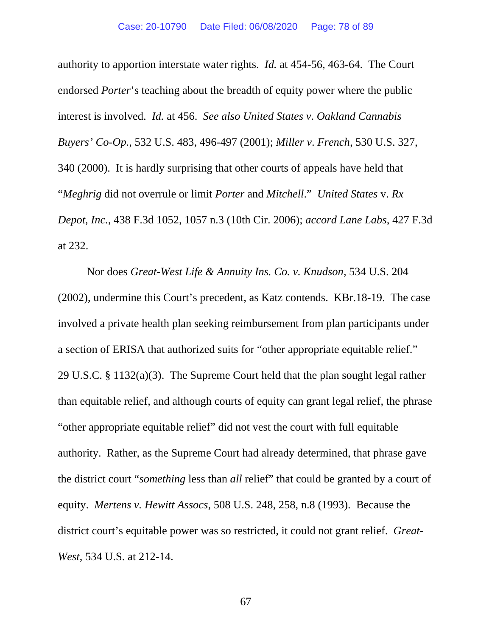authority to apportion interstate water rights. *Id.* at 454-56, 463-64. The Court endorsed *Porter*'s teaching about the breadth of equity power where the public interest is involved. *Id.* at 456. *See also United States v*. *Oakland Cannabis Buyers' Co-Op.*, 532 U.S. 483, 496-497 (2001); *Miller v*. *French*, 530 U.S. 327, 340 (2000). It is hardly surprising that other courts of appeals have held that "*Meghrig* did not overrule or limit *Porter* and *Mitchell*." *United States* v. *Rx Depot, Inc.*, 438 F.3d 1052, 1057 n.3 (10th Cir. 2006); *accord Lane Labs*, 427 F.3d at 232.

Nor does *Great-West Life & Annuity Ins. Co. v. Knudson*, 534 U.S. 204 (2002), undermine this Court's precedent, as Katz contends. KBr.18-19. The case involved a private health plan seeking reimbursement from plan participants under a section of ERISA that authorized suits for "other appropriate equitable relief." 29 U.S.C. § 1132(a)(3). The Supreme Court held that the plan sought legal rather than equitable relief, and although courts of equity can grant legal relief, the phrase "other appropriate equitable relief" did not vest the court with full equitable authority. Rather, as the Supreme Court had already determined, that phrase gave the district court "*something* less than *all* relief" that could be granted by a court of equity. *Mertens v. Hewitt Assocs*, 508 U.S. 248, 258, n.8 (1993). Because the district court's equitable power was so restricted, it could not grant relief. *Great-West*, 534 U.S. at 212-14.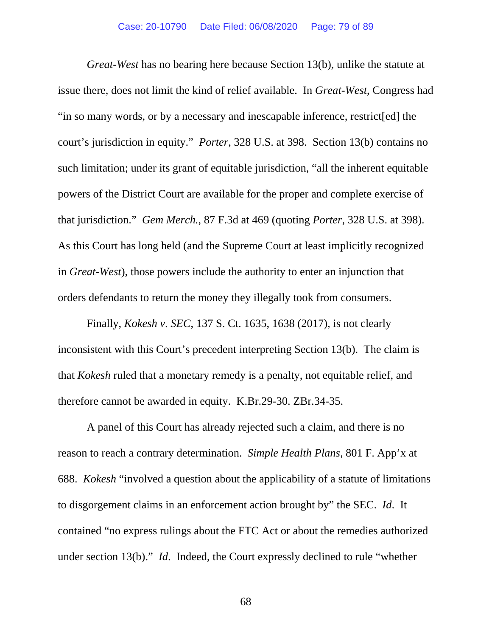*Great-West* has no bearing here because Section 13(b), unlike the statute at issue there, does not limit the kind of relief available. In *Great-West*, Congress had "in so many words, or by a necessary and inescapable inference, restrict[ed] the court's jurisdiction in equity." *Porter*, 328 U.S. at 398. Section 13(b) contains no such limitation; under its grant of equitable jurisdiction, "all the inherent equitable powers of the District Court are available for the proper and complete exercise of that jurisdiction." *Gem Merch.*, 87 F.3d at 469 (quoting *Porter*, 328 U.S. at 398). As this Court has long held (and the Supreme Court at least implicitly recognized in *Great-West*), those powers include the authority to enter an injunction that orders defendants to return the money they illegally took from consumers.

Finally, *Kokesh v*. *SEC*, 137 S. Ct. 1635, 1638 (2017), is not clearly inconsistent with this Court's precedent interpreting Section 13(b). The claim is that *Kokesh* ruled that a monetary remedy is a penalty, not equitable relief, and therefore cannot be awarded in equity. K.Br.29-30. ZBr.34-35.

A panel of this Court has already rejected such a claim, and there is no reason to reach a contrary determination. *Simple Health Plans*, 801 F. App'x at 688. *Kokesh* "involved a question about the applicability of a statute of limitations to disgorgement claims in an enforcement action brought by" the SEC. *Id*. It contained "no express rulings about the FTC Act or about the remedies authorized under section 13(b)." *Id*. Indeed, the Court expressly declined to rule "whether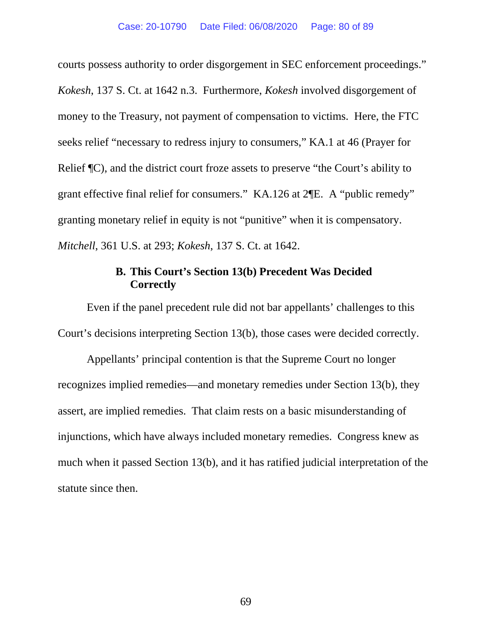courts possess authority to order disgorgement in SEC enforcement proceedings." *Kokesh*, 137 S. Ct. at 1642 n.3. Furthermore, *Kokesh* involved disgorgement of money to the Treasury, not payment of compensation to victims. Here, the FTC seeks relief "necessary to redress injury to consumers," KA.1 at 46 (Prayer for Relief ¶C), and the district court froze assets to preserve "the Court's ability to grant effective final relief for consumers." KA.126 at 2¶E. A "public remedy" granting monetary relief in equity is not "punitive" when it is compensatory. *Mitchell*, 361 U.S. at 293; *Kokesh*, 137 S. Ct. at 1642.

### **B. This Court's Section 13(b) Precedent Was Decided Correctly**

Even if the panel precedent rule did not bar appellants' challenges to this Court's decisions interpreting Section 13(b), those cases were decided correctly.

Appellants' principal contention is that the Supreme Court no longer recognizes implied remedies—and monetary remedies under Section 13(b), they assert, are implied remedies. That claim rests on a basic misunderstanding of injunctions, which have always included monetary remedies. Congress knew as much when it passed Section 13(b), and it has ratified judicial interpretation of the statute since then.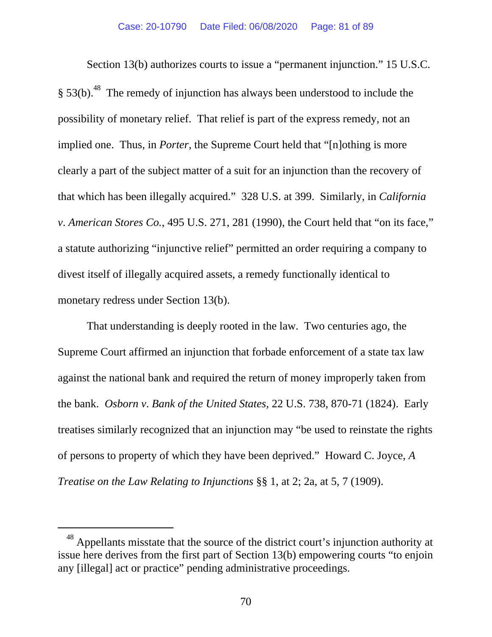Section 13(b) authorizes courts to issue a "permanent injunction." 15 U.S.C.  $§$  53(b).<sup>48</sup> The remedy of injunction has always been understood to include the possibility of monetary relief. That relief is part of the express remedy, not an implied one. Thus, in *Porter*, the Supreme Court held that "[n]othing is more clearly a part of the subject matter of a suit for an injunction than the recovery of that which has been illegally acquired." 328 U.S. at 399. Similarly, in *California v*. *American Stores Co.*, 495 U.S. 271, 281 (1990), the Court held that "on its face," a statute authorizing "injunctive relief" permitted an order requiring a company to divest itself of illegally acquired assets, a remedy functionally identical to monetary redress under Section 13(b).

That understanding is deeply rooted in the law. Two centuries ago, the Supreme Court affirmed an injunction that forbade enforcement of a state tax law against the national bank and required the return of money improperly taken from the bank. *Osborn v*. *Bank of the United States*, 22 U.S. 738, 870-71 (1824). Early treatises similarly recognized that an injunction may "be used to reinstate the rights of persons to property of which they have been deprived." Howard C. Joyce, *A Treatise on the Law Relating to Injunctions* §§ 1, at 2; 2a, at 5, 7 (1909).

 $\overline{a}$ 

<sup>48</sup> Appellants misstate that the source of the district court's injunction authority at issue here derives from the first part of Section 13(b) empowering courts "to enjoin any [illegal] act or practice" pending administrative proceedings.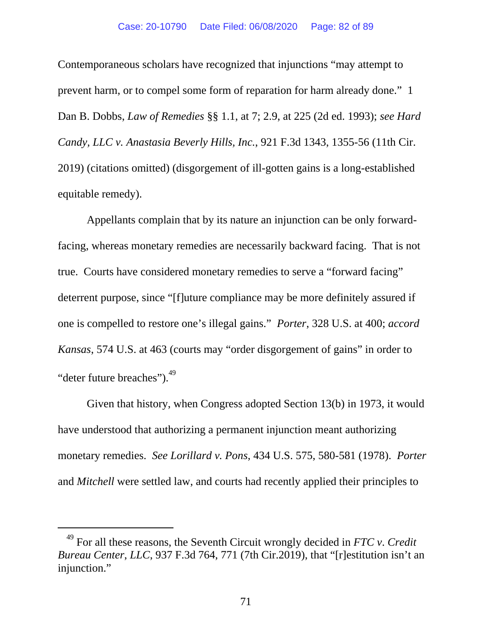Contemporaneous scholars have recognized that injunctions "may attempt to prevent harm, or to compel some form of reparation for harm already done." 1 Dan B. Dobbs, *Law of Remedies* §§ 1.1, at 7; 2.9, at 225 (2d ed. 1993); *see Hard Candy, LLC v. Anastasia Beverly Hills, Inc.*, 921 F.3d 1343, 1355-56 (11th Cir. 2019) (citations omitted) (disgorgement of ill-gotten gains is a long-established equitable remedy).

Appellants complain that by its nature an injunction can be only forwardfacing, whereas monetary remedies are necessarily backward facing. That is not true. Courts have considered monetary remedies to serve a "forward facing" deterrent purpose, since "[f]uture compliance may be more definitely assured if one is compelled to restore one's illegal gains." *Porter*, 328 U.S. at 400; *accord Kansas*, 574 U.S. at 463 (courts may "order disgorgement of gains" in order to "deter future breaches").<sup>49</sup>

Given that history, when Congress adopted Section 13(b) in 1973, it would have understood that authorizing a permanent injunction meant authorizing monetary remedies. *See Lorillard v. Pons*, 434 U.S. 575, 580-581 (1978). *Porter* and *Mitchell* were settled law, and courts had recently applied their principles to

-

<sup>49</sup> For all these reasons, the Seventh Circuit wrongly decided in *FTC v*. *Credit Bureau Center*, *LLC*, 937 F.3d 764, 771 (7th Cir.2019), that "[r]estitution isn't an injunction."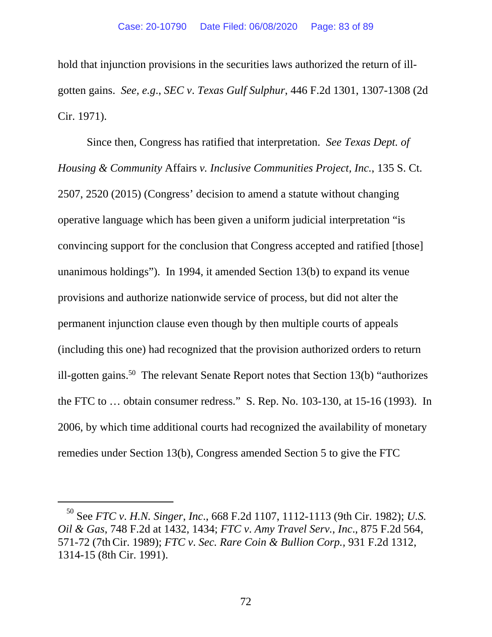hold that injunction provisions in the securities laws authorized the return of illgotten gains. *See, e.g*., *SEC v*. *Texas Gulf Sulphur*, 446 F.2d 1301, 1307-1308 (2d Cir. 1971).

Since then, Congress has ratified that interpretation. *See Texas Dept. of Housing & Community* Affairs *v. Inclusive Communities Project, Inc.*, 135 S. Ct. 2507, 2520 (2015) (Congress' decision to amend a statute without changing operative language which has been given a uniform judicial interpretation "is convincing support for the conclusion that Congress accepted and ratified [those] unanimous holdings"). In 1994, it amended Section 13(b) to expand its venue provisions and authorize nationwide service of process, but did not alter the permanent injunction clause even though by then multiple courts of appeals (including this one) had recognized that the provision authorized orders to return ill-gotten gains.<sup>50</sup> The relevant Senate Report notes that Section  $13(b)$  "authorizes" the FTC to … obtain consumer redress." S. Rep. No. 103-130, at 15-16 (1993). In 2006, by which time additional courts had recognized the availability of monetary remedies under Section 13(b), Congress amended Section 5 to give the FTC

 $\overline{a}$ 

<sup>50</sup> See *FTC v*. *H.N. Singer*, *Inc*., 668 F.2d 1107, 1112-1113 (9th Cir. 1982); *U.S. Oil & Gas*, 748 F.2d at 1432, 1434; *FTC v*. *Amy Travel Serv.*, *Inc*., 875 F.2d 564, 571-72 (7thCir. 1989); *FTC v*. *Sec. Rare Coin & Bullion Corp.,* 931 F.2d 1312, 1314-15 (8th Cir. 1991).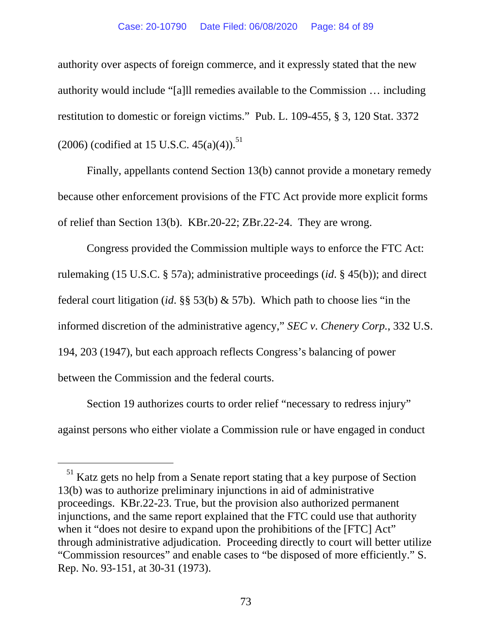#### Case: 20-10790 Date Filed: 06/08/2020 Page: 84 of 89

authority over aspects of foreign commerce, and it expressly stated that the new authority would include "[a]ll remedies available to the Commission … including restitution to domestic or foreign victims." Pub. L. 109-455, § 3, 120 Stat. 3372 (2006) (codified at 15 U.S.C.  $45(a)(4)$ .<sup>51</sup>

Finally, appellants contend Section 13(b) cannot provide a monetary remedy because other enforcement provisions of the FTC Act provide more explicit forms of relief than Section 13(b). KBr.20-22; ZBr.22-24. They are wrong.

Congress provided the Commission multiple ways to enforce the FTC Act: rulemaking (15 U.S.C. § 57a); administrative proceedings (*id*. § 45(b)); and direct federal court litigation (*id*. §§ 53(b) & 57b). Which path to choose lies "in the informed discretion of the administrative agency," *SEC v*. *Chenery Corp.*, 332 U.S. 194, 203 (1947), but each approach reflects Congress's balancing of power between the Commission and the federal courts.

Section 19 authorizes courts to order relief "necessary to redress injury" against persons who either violate a Commission rule or have engaged in conduct

l

<sup>&</sup>lt;sup>51</sup> Katz gets no help from a Senate report stating that a key purpose of Section 13(b) was to authorize preliminary injunctions in aid of administrative proceedings. KBr.22-23. True, but the provision also authorized permanent injunctions, and the same report explained that the FTC could use that authority when it "does not desire to expand upon the prohibitions of the [FTC] Act" through administrative adjudication. Proceeding directly to court will better utilize "Commission resources" and enable cases to "be disposed of more efficiently." S. Rep. No. 93-151, at 30-31 (1973).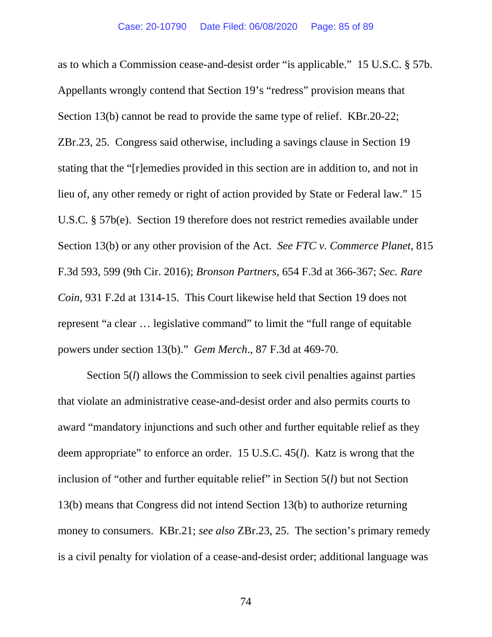as to which a Commission cease-and-desist order "is applicable." 15 U.S.C. § 57b. Appellants wrongly contend that Section 19's "redress" provision means that Section 13(b) cannot be read to provide the same type of relief. KBr.20-22; ZBr.23, 25. Congress said otherwise, including a savings clause in Section 19 stating that the "[r]emedies provided in this section are in addition to, and not in lieu of, any other remedy or right of action provided by State or Federal law." 15 U.S.C. § 57b(e). Section 19 therefore does not restrict remedies available under Section 13(b) or any other provision of the Act. *See FTC v. Commerce Planet*, 815 F.3d 593, 599 (9th Cir. 2016); *Bronson Partners*, 654 F.3d at 366-367; *Sec. Rare Coin*, 931 F.2d at 1314-15. This Court likewise held that Section 19 does not represent "a clear … legislative command" to limit the "full range of equitable powers under section 13(b)." *Gem Merch*., 87 F.3d at 469-70.

Section 5(*l*) allows the Commission to seek civil penalties against parties that violate an administrative cease-and-desist order and also permits courts to award "mandatory injunctions and such other and further equitable relief as they deem appropriate" to enforce an order. 15 U.S.C. 45(*l*). Katz is wrong that the inclusion of "other and further equitable relief" in Section 5(*l*) but not Section 13(b) means that Congress did not intend Section 13(b) to authorize returning money to consumers. KBr.21; *see also* ZBr.23, 25. The section's primary remedy is a civil penalty for violation of a cease-and-desist order; additional language was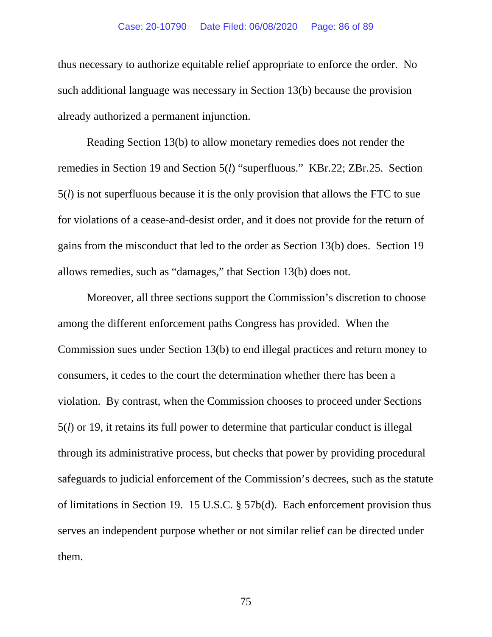#### Case: 20-10790 Date Filed: 06/08/2020 Page: 86 of 89

thus necessary to authorize equitable relief appropriate to enforce the order. No such additional language was necessary in Section 13(b) because the provision already authorized a permanent injunction.

Reading Section 13(b) to allow monetary remedies does not render the remedies in Section 19 and Section 5(*l*) "superfluous." KBr.22; ZBr.25. Section 5(*l*) is not superfluous because it is the only provision that allows the FTC to sue for violations of a cease-and-desist order, and it does not provide for the return of gains from the misconduct that led to the order as Section 13(b) does. Section 19 allows remedies, such as "damages," that Section 13(b) does not.

Moreover, all three sections support the Commission's discretion to choose among the different enforcement paths Congress has provided. When the Commission sues under Section 13(b) to end illegal practices and return money to consumers, it cedes to the court the determination whether there has been a violation. By contrast, when the Commission chooses to proceed under Sections 5(*l*) or 19, it retains its full power to determine that particular conduct is illegal through its administrative process, but checks that power by providing procedural safeguards to judicial enforcement of the Commission's decrees, such as the statute of limitations in Section 19. 15 U.S.C. § 57b(d). Each enforcement provision thus serves an independent purpose whether or not similar relief can be directed under them.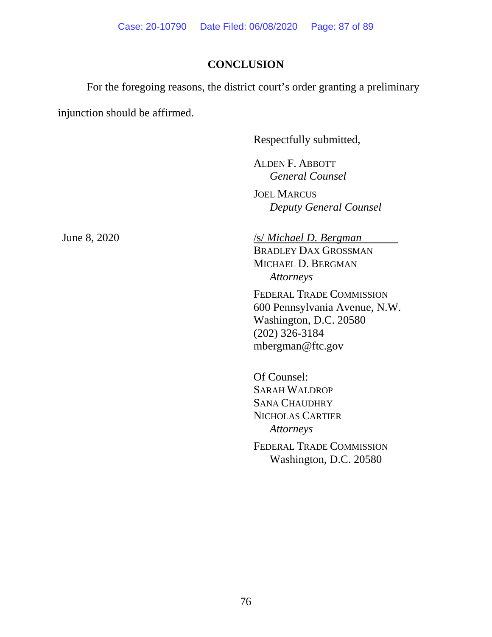# **CONCLUSION**

For the foregoing reasons, the district court's order granting a preliminary

injunction should be affirmed.

Respectfully submitted,

 ALDEN F. ABBOTT *General Counsel* 

JOEL MARCUS *Deputy General Counsel* 

### June 8, 2020 */s/ Michael D. Bergman*

BRADLEY DAX GROSSMAN MICHAEL D. BERGMAN *Attorneys* 

FEDERAL TRADE COMMISSION 600 Pennsylvania Avenue, N.W. Washington, D.C. 20580 (202) 326-3184 mbergman@ftc.gov

 Of Counsel: SARAH WALDROP SANA CHAUDHRY NICHOLAS CARTIER *Attorneys* 

FEDERAL TRADE COMMISSION Washington, D.C. 20580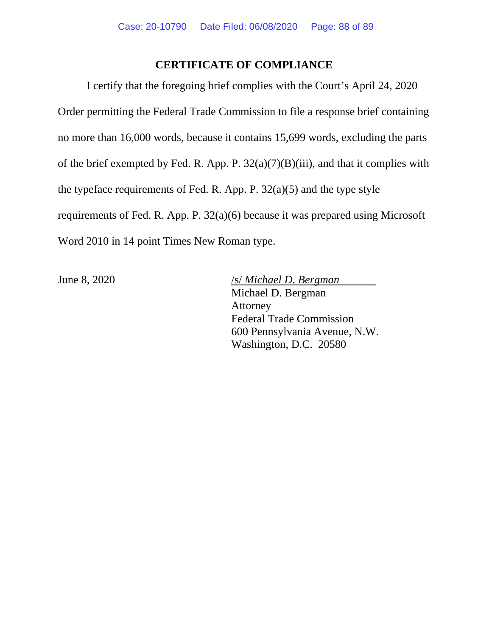## **CERTIFICATE OF COMPLIANCE**

I certify that the foregoing brief complies with the Court's April 24, 2020 Order permitting the Federal Trade Commission to file a response brief containing no more than 16,000 words, because it contains 15,699 words, excluding the parts of the brief exempted by Fed. R. App. P. 32(a)(7)(B)(iii), and that it complies with the typeface requirements of Fed. R. App. P. 32(a)(5) and the type style requirements of Fed. R. App. P. 32(a)(6) because it was prepared using Microsoft Word 2010 in 14 point Times New Roman type.

June 8, 2020 /s/ *Michael D. Bergman* Michael D. Bergman Attorney Federal Trade Commission 600 Pennsylvania Avenue, N.W. Washington, D.C. 20580